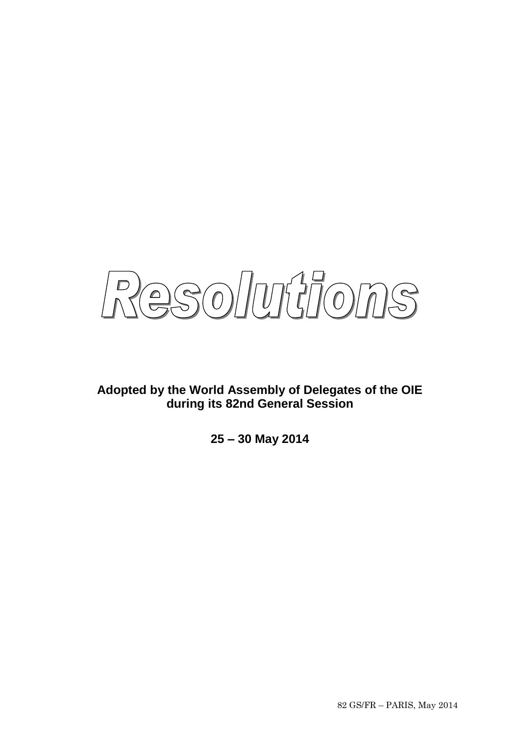

**Adopted by the World Assembly of Delegates of the OIE during its 82nd General Session**

**25 – 30 May 2014**

82 GS/FR – PARIS, May 2014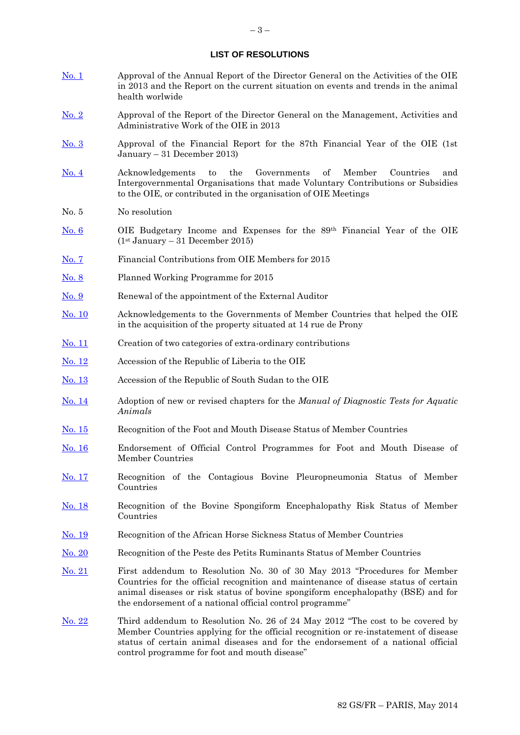#### **LIST OF RESOLUTIONS**

- [No. 1](#page-4-0) Approval of the Annual Report of the Director General on the Activities of the OIE in 2013 and the Report on the current situation on events and trends in the animal health worlwide
- [No. 2](#page-5-0) Approval of the Report of the Director General on the Management, Activities and Administrative Work of the OIE in 2013
- [No. 3](#page-6-0) Approval of the Financial Report for the 87th Financial Year of the OIE (1st January – 31 December 2013)
- [No. 4](#page-7-0) Acknowledgements to the Governments of Member Countries and Intergovernmental Organisations that made Voluntary Contributions or Subsidies to the OIE, or contributed in the organisation of OIE Meetings
- No. 5 No resolution
- [No. 6](#page-8-0) OIE Budgetary Income and Expenses for the 89th Financial Year of the OIE (1st January – 31 December 2015)
- [No. 7](#page-10-0) Financial Contributions from OIE Members for 2015
- [No. 8](#page-11-0) Planned Working Programme for 2015
- [No. 9](#page-12-0) Renewal of the appointment of the External Auditor
- [No. 10](#page-13-0) Acknowledgements to the Governments of Member Countries that helped the OIE in the acquisition of the property situated at 14 rue de Prony
- [No. 11](#page-14-0) Creation of two categories of extra-ordinary contributions
- [No. 12](#page-15-0) Accession of the Republic of Liberia to the OIE
- [No. 13](#page-16-0) Accession of the Republic of South Sudan to the OIE
- [No. 14](#page-17-0) Adoption of new or revised chapters for the *Manual of Diagnostic Tests for Aquatic Animals*
- [No. 15](#page-18-0) Recognition of the Foot and Mouth Disease Status of Member Countries
- [No. 16](#page-22-0) Endorsement of Official Control Programmes for Foot and Mouth Disease of Member Countries
- [No. 17](#page-23-0) Recognition of the Contagious Bovine Pleuropneumonia Status of Member Countries
- [No. 18](#page-24-0) Recognition of the Bovine Spongiform Encephalopathy Risk Status of Member Countries
- [No. 19](#page-26-0) Recognition of the African Horse Sickness Status of Member Countries
- [No. 20](#page-27-0) Recognition of the Peste des Petits Ruminants Status of Member Countries
- [No. 21](#page-28-0) First addendum to Resolution No. 30 of 30 May 2013 "Procedures for Member Countries for the official recognition and maintenance of disease status of certain animal diseases or risk status of bovine spongiform encephalopathy (BSE) and for the endorsement of a national official control programme"
- [No. 22](#page-30-0) Third addendum to Resolution No. 26 of 24 May 2012 "The cost to be covered by Member Countries applying for the official recognition or re-instatement of disease status of certain animal diseases and for the endorsement of a national official control programme for foot and mouth disease"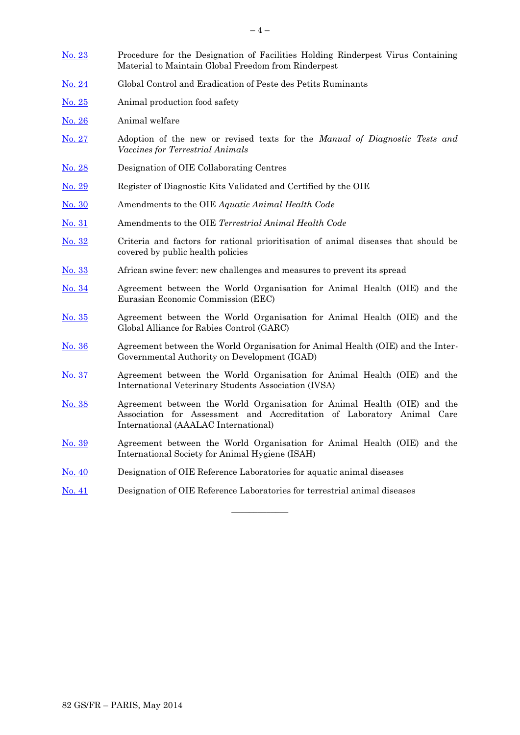- [No. 23](#page-31-0) Procedure for the Designation of Facilities Holding Rinderpest Virus Containing Material to Maintain Global Freedom from Rinderpest [No. 24](#page-35-0) Global Control and Eradication of Peste des Petits Ruminants [No. 25](#page-38-0) Animal production food safety [No. 26](#page-42-0) Animal welfare [No. 27](#page-44-0) Adoption of the new or revised texts for the *Manual of Diagnostic Tests and Vaccines for Terrestrial Animals* [No. 28](#page-46-0) Designation of OIE Collaborating Centres [No. 29](#page-48-0) Register of Diagnostic Kits Validated and Certified by the OIE [No. 30](#page-50-0) Amendments to the OIE *Aquatic Animal Health Code* [No. 31](#page-51-0) Amendments to the OIE *Terrestrial Animal Health Code* [No. 32](#page-54-0) Criteria and factors for rational prioritisation of animal diseases that should be covered by public health policies [No. 33](#page-56-0) African swine fever: new challenges and measures to prevent its spread [No. 34](#page-58-0) Agreement between the World Organisation for Animal Health (OIE) and the Eurasian Economic Commission (EEC) [No.](#page-59-0) 35 Agreement between the World Organisation for Animal Health (OIE) and the Global Alliance for Rabies Control (GARC) [No. 36](#page-60-0) Agreement between the World Organisation for Animal Health (OIE) and the Inter-
- Governmental Authority on Development (IGAD)
- [No. 37](#page-61-0) Agreement between the World Organisation for Animal Health (OIE) and the International Veterinary Students Association (IVSA)
- [No. 38](#page-62-0) Agreement between the World Organisation for Animal Health (OIE) and the Association for Assessment and Accreditation of Laboratory Animal Care International (AAALAC International)
- [No. 39](#page-63-0) Agreement between the World Organisation for Animal Health (OIE) and the International Society for Animal Hygiene (ISAH)

 $\overline{\phantom{a}}$ 

- [No. 40](#page-64-0) Designation of OIE Reference Laboratories for aquatic animal diseases
- [No. 41](#page-65-0) Designation of OIE Reference Laboratories for terrestrial animal diseases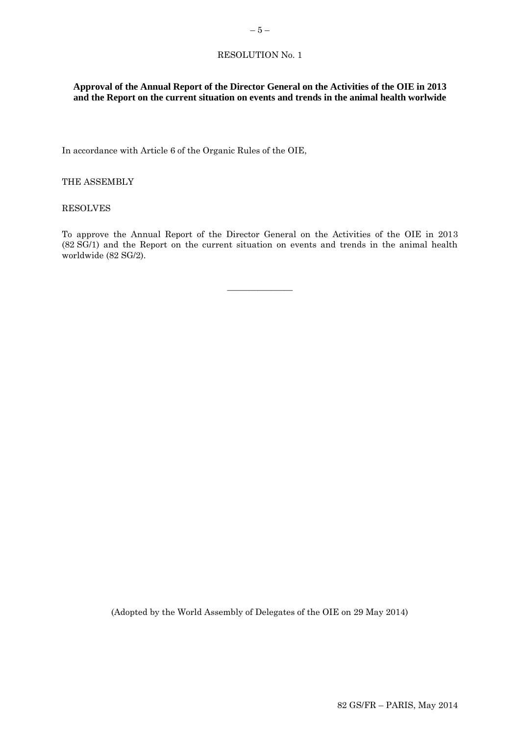# <span id="page-4-0"></span>**Approval of the Annual Report of the Director General on the Activities of the OIE in 2013 and the Report on the current situation on events and trends in the animal health worlwide**

In accordance with Article 6 of the Organic Rules of the OIE,

THE ASSEMBLY

RESOLVES

To approve the Annual Report of the Director General on the Activities of the OIE in 2013 (82 SG/1) and the Report on the current situation on events and trends in the animal health worldwide (82 SG/2).

 $\overline{\phantom{a}}$  , where  $\overline{\phantom{a}}$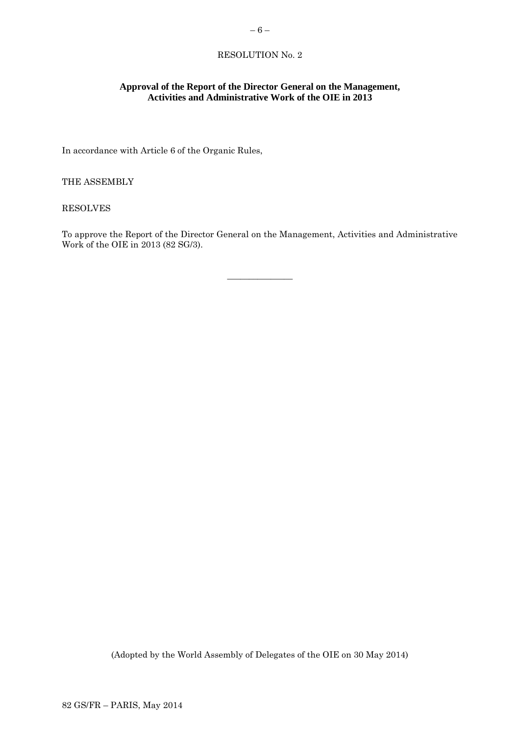# <span id="page-5-0"></span>**Approval of the Report of the Director General on the Management, Activities and Administrative Work of the OIE in 2013**

In accordance with Article 6 of the Organic Rules,

THE ASSEMBLY

RESOLVES

To approve the Report of the Director General on the Management, Activities and Administrative Work of the OIE in 2013 (82 SG/3).

\_\_\_\_\_\_\_\_\_\_\_\_\_\_\_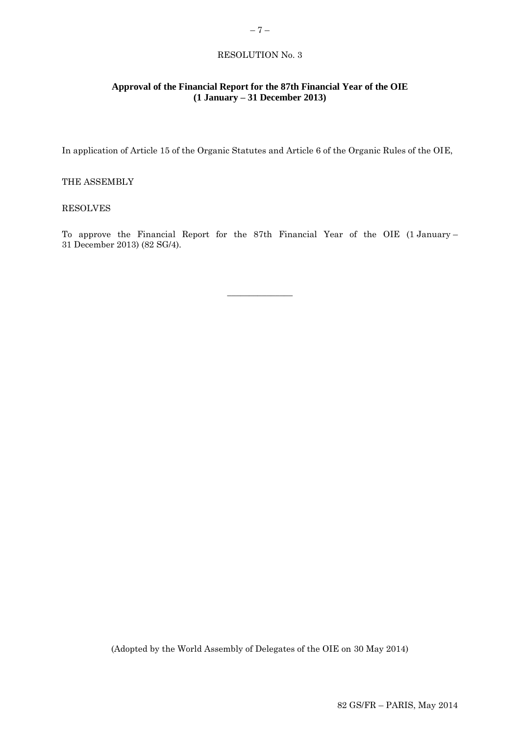# <span id="page-6-0"></span>**Approval of the Financial Report for the 87th Financial Year of the OIE (1 January – 31 December 2013)**

In application of Article 15 of the Organic Statutes and Article 6 of the Organic Rules of the OIE,

# THE ASSEMBLY

#### RESOLVES

To approve the Financial Report for the 87th Financial Year of the OIE (1 January – 31 December 2013) (82 SG/4).

 $\overline{\phantom{a}}$  , where  $\overline{\phantom{a}}$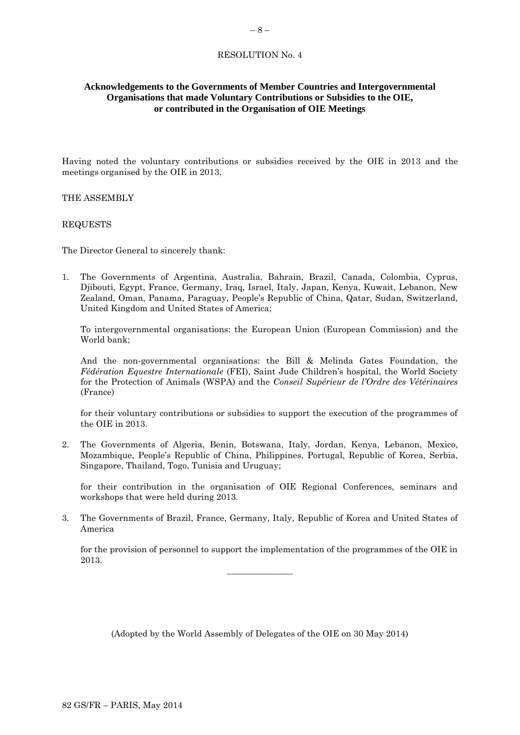# <span id="page-7-0"></span>**Acknowledgements to the Governments of Member Countries and Intergovernmental Organisations that made Voluntary Contributions or Subsidies to the OIE, or contributed in the Organisation of OIE Meetings**

Having noted the voluntary contributions or subsidies received by the OIE in 2013 and the meetings organised by the OIE in 2013,

THE ASSEMBLY

## REQUESTS

The Director General to sincerely thank:

1. The Governments of Argentina, Australia, Bahrain, Brazil, Canada, Colombia, Cyprus, Djibouti, Egypt, France, Germany, Iraq, Israel, Italy, Japan, Kenya, Kuwait, Lebanon, New Zealand, Oman, Panama, Paraguay, People's Republic of China, Qatar, Sudan, Switzerland, United Kingdom and United States of America;

To intergovernmental organisations: the European Union (European Commission) and the World bank;

And the non-governmental organisations: the Bill & Melinda Gates Foundation, the *Fédération Equestre Internationale* (FEI), Saint Jude Children's hospital, the World Society for the Protection of Animals (WSPA) and the *Conseil Supérieur de l'Ordre des Vétérinaires* (France)

for their voluntary contributions or subsidies to support the execution of the programmes of the OIE in 2013.

2. The Governments of Algeria, Benin, Botswana, Italy, Jordan, Kenya, Lebanon, Mexico, Mozambique, People's Republic of China, Philippines, Portugal, Republic of Korea, Serbia, Singapore, Thailand, Togo, Tunisia and Uruguay;

for their contribution in the organisation of OIE Regional Conferences, seminars and workshops that were held during 2013.

3. The Governments of Brazil, France, Germany, Italy, Republic of Korea and United States of America

 $\overline{\phantom{a}}$  , where  $\overline{\phantom{a}}$ 

for the provision of personnel to support the implementation of the programmes of the OIE in 2013.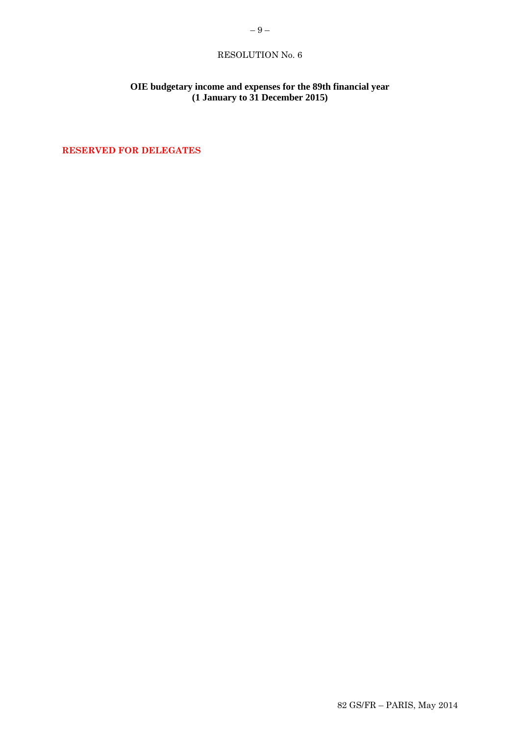# <span id="page-8-0"></span>**OIE budgetary income and expenses for the 89th financial year (1 January to 31 December 2015)**

**RESERVED FOR DELEGATES**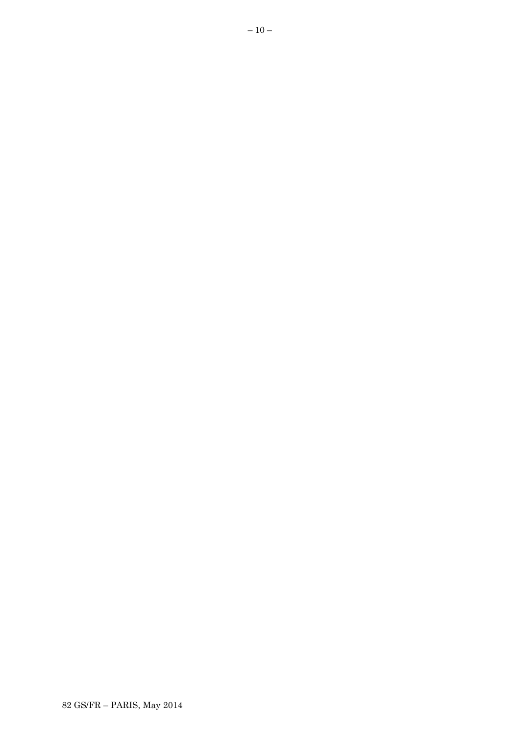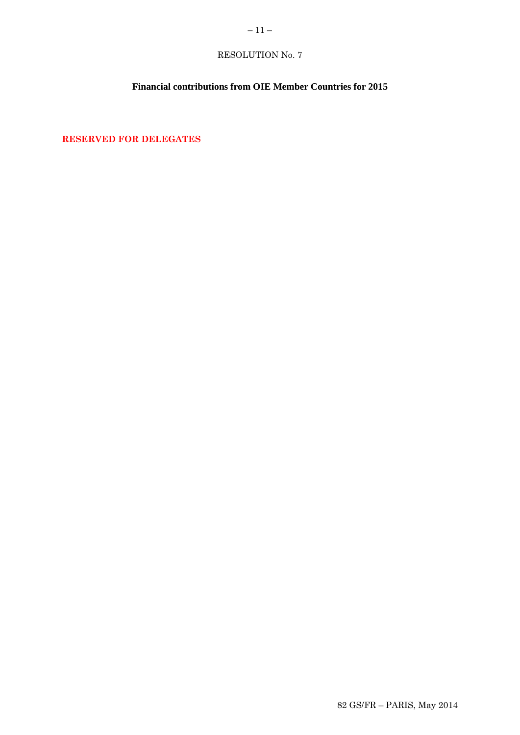# <span id="page-10-0"></span>**Financial contributions from OIE Member Countries for 2015**

**RESERVED FOR DELEGATES**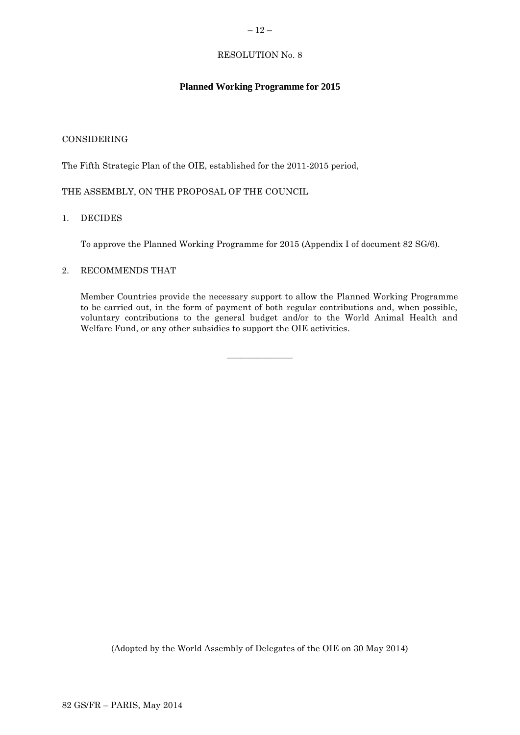# <span id="page-11-0"></span>**Planned Working Programme for 2015**

# CONSIDERING

The Fifth Strategic Plan of the OIE, established for the 2011-2015 period,

# THE ASSEMBLY, ON THE PROPOSAL OF THE COUNCIL

# 1. DECIDES

To approve the Planned Working Programme for 2015 (Appendix I of document 82 SG/6).

# 2. RECOMMENDS THAT

Member Countries provide the necessary support to allow the Planned Working Programme to be carried out, in the form of payment of both regular contributions and, when possible, voluntary contributions to the general budget and/or to the World Animal Health and Welfare Fund, or any other subsidies to support the OIE activities.

 $\overline{\phantom{a}}$  , where  $\overline{\phantom{a}}$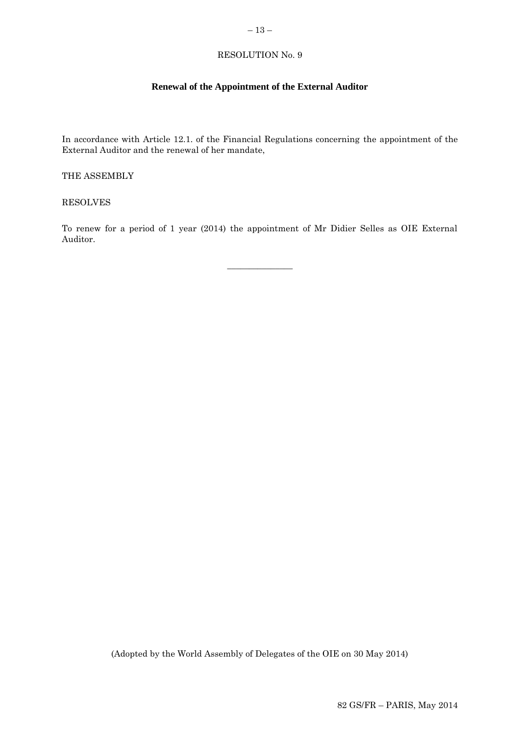#### <span id="page-12-0"></span> $-13-$

# RESOLUTION No. 9

## **Renewal of the Appointment of the External Auditor**

In accordance with Article 12.1. of the Financial Regulations concerning the appointment of the External Auditor and the renewal of her mandate,

THE ASSEMBLY

RESOLVES

To renew for a period of 1 year (2014) the appointment of Mr Didier Selles as OIE External Auditor.

 $\overline{\phantom{a}}$  , where  $\overline{\phantom{a}}$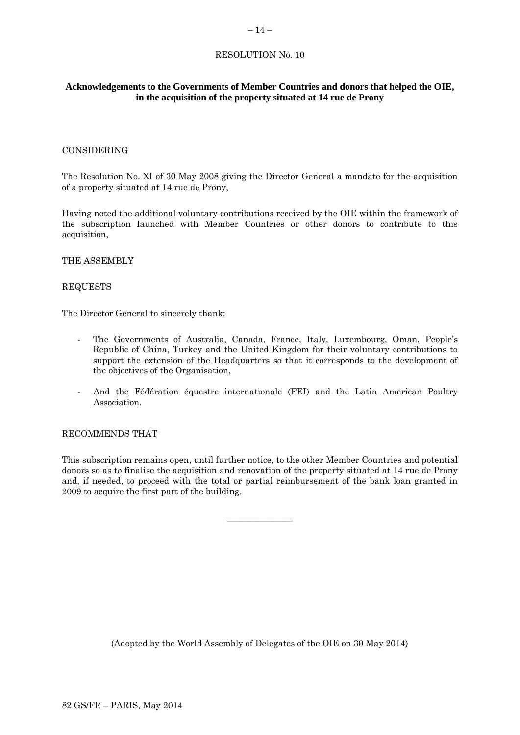# <span id="page-13-0"></span>**Acknowledgements to the Governments of Member Countries and donors that helped the OIE, in the acquisition of the property situated at 14 rue de Prony**

## CONSIDERING

The Resolution No. XI of 30 May 2008 giving the Director General a mandate for the acquisition of a property situated at 14 rue de Prony,

Having noted the additional voluntary contributions received by the OIE within the framework of the subscription launched with Member Countries or other donors to contribute to this acquisition,

#### THE ASSEMBLY

## REQUESTS

The Director General to sincerely thank:

- The Governments of Australia, Canada, France, Italy, Luxembourg, Oman, People's Republic of China, Turkey and the United Kingdom for their voluntary contributions to support the extension of the Headquarters so that it corresponds to the development of the objectives of the Organisation,
- And the Fédération équestre internationale (FEI) and the Latin American Poultry Association.

#### RECOMMENDS THAT

This subscription remains open, until further notice, to the other Member Countries and potential donors so as to finalise the acquisition and renovation of the property situated at 14 rue de Prony and, if needed, to proceed with the total or partial reimbursement of the bank loan granted in 2009 to acquire the first part of the building.

 $\overline{\phantom{a}}$  , where  $\overline{\phantom{a}}$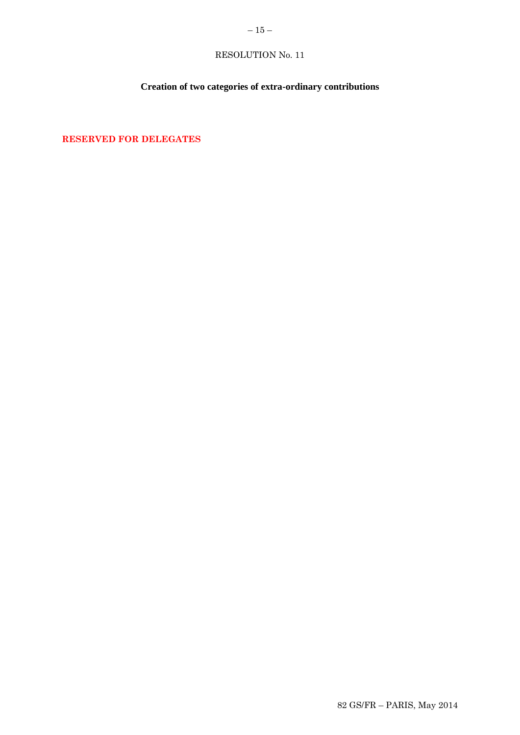# <span id="page-14-0"></span>**Creation of two categories of extra-ordinary contributions**

**RESERVED FOR DELEGATES**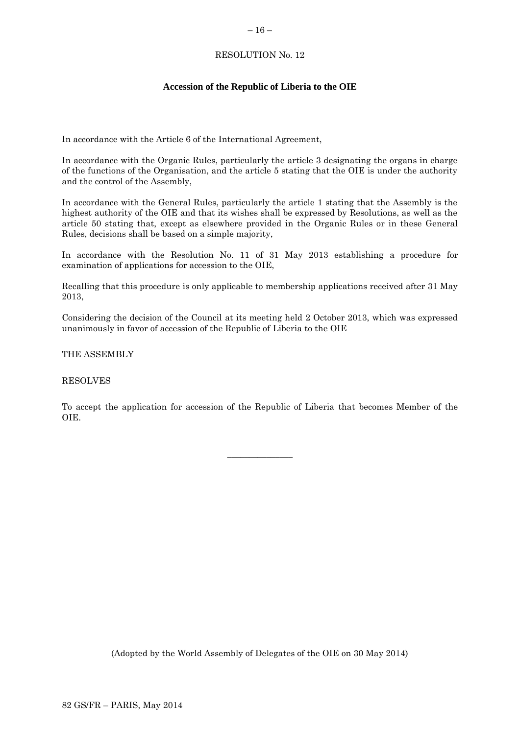# <span id="page-15-0"></span>**Accession of the Republic of Liberia to the OIE**

In accordance with the Article 6 of the International Agreement,

In accordance with the Organic Rules, particularly the article 3 designating the organs in charge of the functions of the Organisation, and the article 5 stating that the OIE is under the authority and the control of the Assembly,

In accordance with the General Rules, particularly the article 1 stating that the Assembly is the highest authority of the OIE and that its wishes shall be expressed by Resolutions, as well as the article 50 stating that, except as elsewhere provided in the Organic Rules or in these General Rules, decisions shall be based on a simple majority,

In accordance with the Resolution No. 11 of 31 May 2013 establishing a procedure for examination of applications for accession to the OIE,

Recalling that this procedure is only applicable to membership applications received after 31 May 2013,

Considering the decision of the Council at its meeting held 2 October 2013, which was expressed unanimously in favor of accession of the Republic of Liberia to the OIE

THE ASSEMBLY

#### RESOLVES

To accept the application for accession of the Republic of Liberia that becomes Member of the OIE.

 $\overline{\phantom{a}}$  , where  $\overline{\phantom{a}}$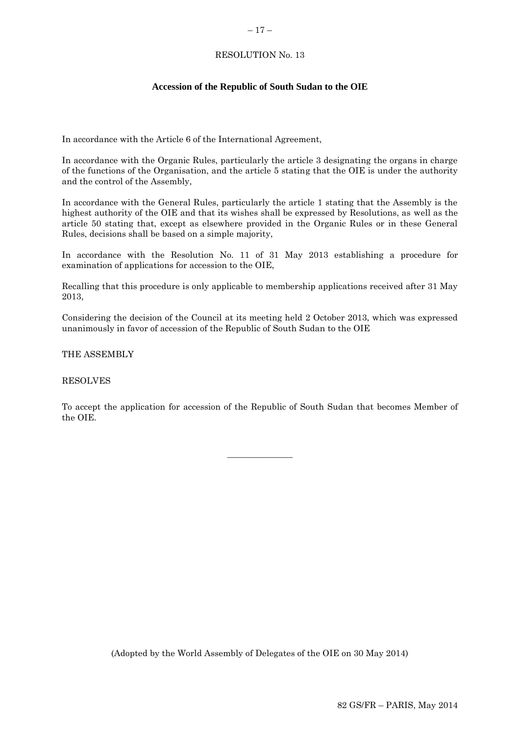## <span id="page-16-0"></span>**Accession of the Republic of South Sudan to the OIE**

In accordance with the Article 6 of the International Agreement,

In accordance with the Organic Rules, particularly the article 3 designating the organs in charge of the functions of the Organisation, and the article 5 stating that the OIE is under the authority and the control of the Assembly,

In accordance with the General Rules, particularly the article 1 stating that the Assembly is the highest authority of the OIE and that its wishes shall be expressed by Resolutions, as well as the article 50 stating that, except as elsewhere provided in the Organic Rules or in these General Rules, decisions shall be based on a simple majority,

In accordance with the Resolution No. 11 of 31 May 2013 establishing a procedure for examination of applications for accession to the OIE,

Recalling that this procedure is only applicable to membership applications received after 31 May 2013,

Considering the decision of the Council at its meeting held 2 October 2013, which was expressed unanimously in favor of accession of the Republic of South Sudan to the OIE

THE ASSEMBLY

#### RESOLVES

To accept the application for accession of the Republic of South Sudan that becomes Member of the OIE.

 $\overline{\phantom{a}}$  , where  $\overline{\phantom{a}}$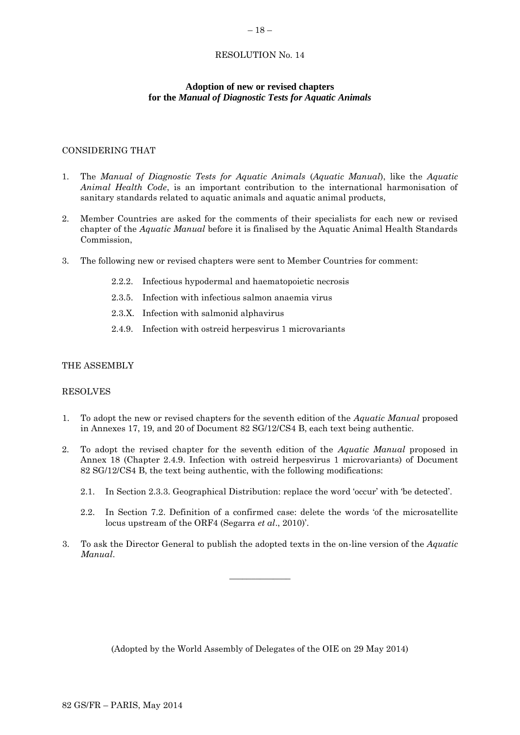# <span id="page-17-0"></span>**Adoption of new or revised chapters for the** *Manual of Diagnostic Tests for Aquatic Animals*

## CONSIDERING THAT

- 1. The *Manual of Diagnostic Tests for Aquatic Animals* (*Aquatic Manual*), like the *Aquatic Animal Health Code*, is an important contribution to the international harmonisation of sanitary standards related to aquatic animals and aquatic animal products,
- 2. Member Countries are asked for the comments of their specialists for each new or revised chapter of the *Aquatic Manual* before it is finalised by the Aquatic Animal Health Standards Commission,
- 3. The following new or revised chapters were sent to Member Countries for comment:
	- 2.2.2. Infectious hypodermal and haematopoietic necrosis
	- 2.3.5. Infection with infectious salmon anaemia virus
	- 2.3.X. Infection with salmonid alphavirus
	- 2.4.9. Infection with ostreid herpesvirus 1 microvariants

#### THE ASSEMBLY

#### RESOLVES

- 1. To adopt the new or revised chapters for the seventh edition of the *Aquatic Manual* proposed in Annexes 17, 19, and 20 of Document 82 SG/12/CS4 B, each text being authentic.
- 2. To adopt the revised chapter for the seventh edition of the *Aquatic Manual* proposed in Annex 18 (Chapter 2.4.9. Infection with ostreid herpesvirus 1 microvariants) of Document 82 SG/12/CS4 B, the text being authentic, with the following modifications:
	- 2.1. In Section 2.3.3. Geographical Distribution: replace the word 'occur' with 'be detected'.
	- 2.2. In Section 7.2. Definition of a confirmed case: delete the words 'of the microsatellite locus upstream of the ORF4 (Segarra *et al*., 2010)'.
- 3. To ask the Director General to publish the adopted texts in the on-line version of the *Aquatic Manual*.

 $\overline{\phantom{a}}$  , where  $\overline{\phantom{a}}$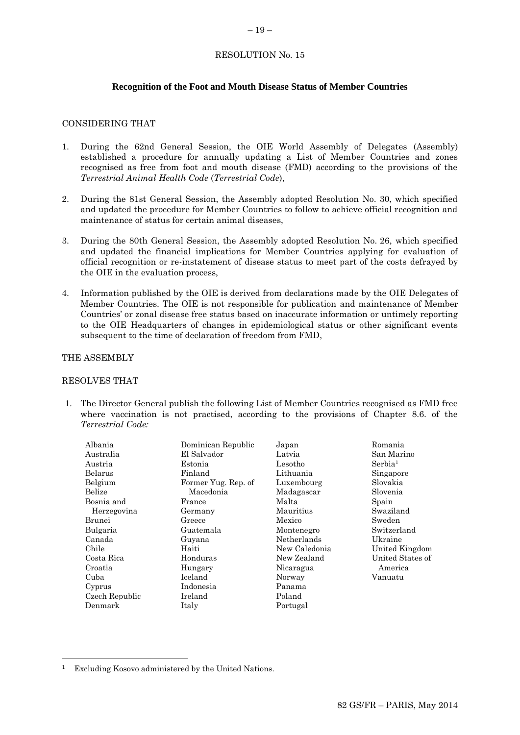# <span id="page-18-0"></span>**Recognition of the Foot and Mouth Disease Status of Member Countries**

## CONSIDERING THAT

- 1. During the 62nd General Session, the OIE World Assembly of Delegates (Assembly) established a procedure for annually updating a List of Member Countries and zones recognised as free from foot and mouth disease (FMD) according to the provisions of the *Terrestrial Animal Health Code* (*Terrestrial Code*),
- 2. During the 81st General Session, the Assembly adopted Resolution No. 30, which specified and updated the procedure for Member Countries to follow to achieve official recognition and maintenance of status for certain animal diseases,
- 3. During the 80th General Session, the Assembly adopted Resolution No. 26, which specified and updated the financial implications for Member Countries applying for evaluation of official recognition or re-instatement of disease status to meet part of the costs defrayed by the OIE in the evaluation process,
- 4. Information published by the OIE is derived from declarations made by the OIE Delegates of Member Countries. The OIE is not responsible for publication and maintenance of Member Countries' or zonal disease free status based on inaccurate information or untimely reporting to the OIE Headquarters of changes in epidemiological status or other significant events subsequent to the time of declaration of freedom from FMD,

## THE ASSEMBLY

#### RESOLVES THAT

l

1. The Director General publish the following List of Member Countries recognised as FMD free where vaccination is not practised, according to the provisions of Chapter 8.6. of the *Terrestrial Code:*

| Albania        | Dominican Republic  | Japan         | Romania             |
|----------------|---------------------|---------------|---------------------|
| Australia      | El Salvador         | Latvia        | San Marino          |
| Austria        | Estonia             | Lesotho       | Serbia <sup>1</sup> |
| Belarus        | Finland             | Lithuania     | Singapore           |
| Belgium        | Former Yug. Rep. of | Luxembourg    | Slovakia            |
| Belize         | Macedonia           | Madagascar    | Slovenia            |
| Bosnia and     | France              | Malta         | Spain               |
| Herzegovina    | Germany             | Mauritius     | Swaziland           |
| Brunei         | Greece              | Mexico        | Sweden              |
| Bulgaria       | Guatemala           | Montenegro    | Switzerland         |
| Canada         | Guyana              | Netherlands   | Ukraine             |
| Chile          | Haiti               | New Caledonia | United Kingdom      |
| Costa Rica     | Honduras            | New Zealand   | United States of    |
| Croatia        | Hungary             | Nicaragua     | America             |
| Cuba           | Iceland             | Norway        | Vanuatu             |
| Cyprus         | Indonesia           | Panama        |                     |
| Czech Republic | Ireland             | Poland        |                     |
| Denmark        | Italy               | Portugal      |                     |

<sup>1</sup> Excluding Kosovo administered by the United Nations.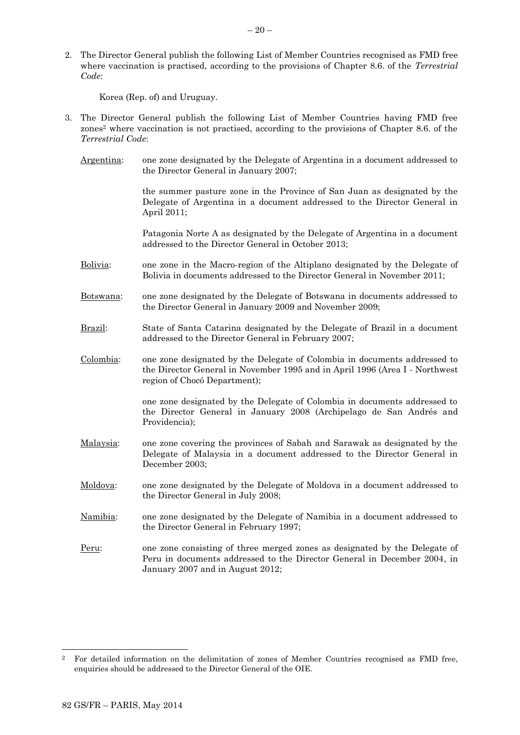2. The Director General publish the following List of Member Countries recognised as FMD free where vaccination is practised, according to the provisions of Chapter 8.6. of the *Terrestrial Code*:

Korea (Rep. of) and Uruguay.

- 3. The Director General publish the following List of Member Countries having FMD free zones<sup>2</sup> where vaccination is not practised, according to the provisions of Chapter 8.6. of the *Terrestrial Code*:
	- Argentina: one zone designated by the Delegate of Argentina in a document addressed to the Director General in January 2007;

the summer pasture zone in the Province of San Juan as designated by the Delegate of Argentina in a document addressed to the Director General in April 2011;

Patagonia Norte A as designated by the Delegate of Argentina in a document addressed to the Director General in October 2013;

- Bolivia: one zone in the Macro-region of the Altiplano designated by the Delegate of Bolivia in documents addressed to the Director General in November 2011;
- Botswana: one zone designated by the Delegate of Botswana in documents addressed to the Director General in January 2009 and November 2009;
- Brazil: State of Santa Catarina designated by the Delegate of Brazil in a document addressed to the Director General in February 2007;
- Colombia: one zone designated by the Delegate of Colombia in documents addressed to the Director General in November 1995 and in April 1996 (Area I - Northwest region of Chocó Department);

one zone designated by the Delegate of Colombia in documents addressed to the Director General in January 2008 (Archipelago de San Andrés and Providencia);

- Malaysia: one zone covering the provinces of Sabah and Sarawak as designated by the Delegate of Malaysia in a document addressed to the Director General in December 2003;
- Moldova: one zone designated by the Delegate of Moldova in a document addressed to the Director General in July 2008;
- Namibia: one zone designated by the Delegate of Namibia in a document addressed to the Director General in February 1997;
- Peru: one zone consisting of three merged zones as designated by the Delegate of Peru in documents addressed to the Director General in December 2004, in January 2007 and in August 2012;

l

<sup>&</sup>lt;sup>2</sup> For detailed information on the delimitation of zones of Member Countries recognised as FMD free. enquiries should be addressed to the Director General of the OIE.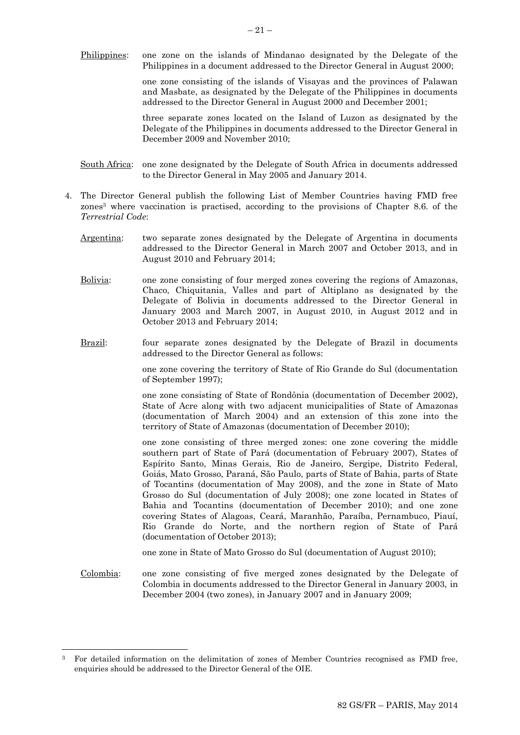Philippines: one zone on the islands of Mindanao designated by the Delegate of the Philippines in a document addressed to the Director General in August 2000;

> one zone consisting of the islands of Visayas and the provinces of Palawan and Masbate, as designated by the Delegate of the Philippines in documents addressed to the Director General in August 2000 and December 2001;

> three separate zones located on the Island of Luzon as designated by the Delegate of the Philippines in documents addressed to the Director General in December 2009 and November 2010;

- South Africa: one zone designated by the Delegate of South Africa in documents addressed to the Director General in May 2005 and January 2014.
- 4. The Director General publish the following List of Member Countries having FMD free zones<sup>3</sup> where vaccination is practised, according to the provisions of Chapter 8.6. of the *Terrestrial Code*:
	- Argentina: two separate zones designated by the Delegate of Argentina in documents addressed to the Director General in March 2007 and October 2013, and in August 2010 and February 2014;
	- Bolivia: one zone consisting of four merged zones covering the regions of Amazonas, Chaco, Chiquitania, Valles and part of Altiplano as designated by the Delegate of Bolivia in documents addressed to the Director General in January 2003 and March 2007, in August 2010, in August 2012 and in October 2013 and February 2014;
	- Brazil: four separate zones designated by the Delegate of Brazil in documents addressed to the Director General as follows:

one zone covering the territory of State of Rio Grande do Sul (documentation of September 1997);

one zone consisting of State of Rondônia (documentation of December 2002), State of Acre along with two adjacent municipalities of State of Amazonas (documentation of March 2004) and an extension of this zone into the territory of State of Amazonas (documentation of December 2010);

one zone consisting of three merged zones: one zone covering the middle southern part of State of Pará (documentation of February 2007), States of Espírito Santo, Minas Gerais, Rio de Janeiro, Sergipe, Distrito Federal, Goiás, Mato Grosso, Paraná, São Paulo, parts of State of Bahia, parts of State of Tocantins (documentation of May 2008), and the zone in State of Mato Grosso do Sul (documentation of July 2008); one zone located in States of Bahia and Tocantins (documentation of December 2010); and one zone covering States of Alagoas, Ceará, Maranhão, Paraíba, Pernambuco, Piauí, Rio Grande do Norte, and the northern region of State of Pará (documentation of October 2013);

one zone in State of Mato Grosso do Sul (documentation of August 2010);

Colombia: one zone consisting of five merged zones designated by the Delegate of Colombia in documents addressed to the Director General in January 2003, in December 2004 (two zones), in January 2007 and in January 2009;

l

<sup>3</sup> For detailed information on the delimitation of zones of Member Countries recognised as FMD free, enquiries should be addressed to the Director General of the OIE.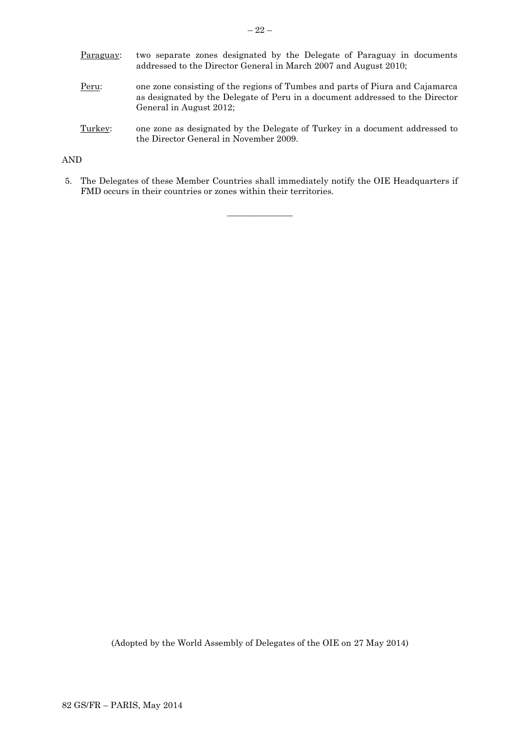| Paraguay: | two separate zones designated by the Delegate of Paraguay in documents<br>addressed to the Director General in March 2007 and August 2010;                                                |
|-----------|-------------------------------------------------------------------------------------------------------------------------------------------------------------------------------------------|
| Peru:     | one zone consisting of the regions of Tumbes and parts of Piura and Cajamarca<br>as designated by the Delegate of Peru in a document addressed to the Director<br>General in August 2012; |
| Turkey:   | one zone as designated by the Delegate of Turkey in a document addressed to<br>the Director General in November 2009.                                                                     |

# AND

5. The Delegates of these Member Countries shall immediately notify the OIE Headquarters if FMD occurs in their countries or zones within their territories.

 $\overline{\phantom{a}}$  , where  $\overline{\phantom{a}}$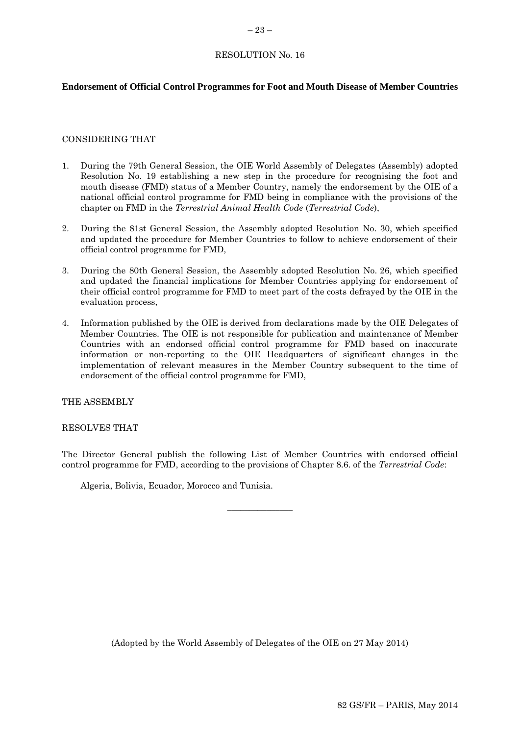# <span id="page-22-0"></span>**Endorsement of Official Control Programmes for Foot and Mouth Disease of Member Countries**

# CONSIDERING THAT

- 1. During the 79th General Session, the OIE World Assembly of Delegates (Assembly) adopted Resolution No. 19 establishing a new step in the procedure for recognising the foot and mouth disease (FMD) status of a Member Country, namely the endorsement by the OIE of a national official control programme for FMD being in compliance with the provisions of the chapter on FMD in the *Terrestrial Animal Health Code* (*Terrestrial Code*),
- 2. During the 81st General Session, the Assembly adopted Resolution No. 30, which specified and updated the procedure for Member Countries to follow to achieve endorsement of their official control programme for FMD,
- 3. During the 80th General Session, the Assembly adopted Resolution No. 26, which specified and updated the financial implications for Member Countries applying for endorsement of their official control programme for FMD to meet part of the costs defrayed by the OIE in the evaluation process,
- 4. Information published by the OIE is derived from declarations made by the OIE Delegates of Member Countries. The OIE is not responsible for publication and maintenance of Member Countries with an endorsed official control programme for FMD based on inaccurate information or non-reporting to the OIE Headquarters of significant changes in the implementation of relevant measures in the Member Country subsequent to the time of endorsement of the official control programme for FMD,

THE ASSEMBLY

RESOLVES THAT

The Director General publish the following List of Member Countries with endorsed official control programme for FMD, according to the provisions of Chapter 8.6. of the *Terrestrial Code*:

 $\overline{\phantom{a}}$  , where  $\overline{\phantom{a}}$ 

Algeria, Bolivia, Ecuador, Morocco and Tunisia.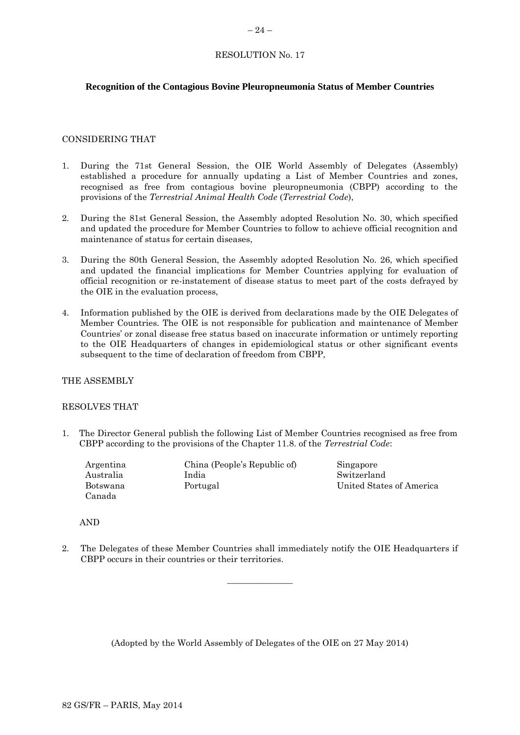# <span id="page-23-0"></span>**Recognition of the Contagious Bovine Pleuropneumonia Status of Member Countries**

#### CONSIDERING THAT

- 1. During the 71st General Session, the OIE World Assembly of Delegates (Assembly) established a procedure for annually updating a List of Member Countries and zones, recognised as free from contagious bovine pleuropneumonia (CBPP) according to the provisions of the *Terrestrial Animal Health Code* (*Terrestrial Code*),
- 2. During the 81st General Session, the Assembly adopted Resolution No. 30, which specified and updated the procedure for Member Countries to follow to achieve official recognition and maintenance of status for certain diseases,
- 3. During the 80th General Session, the Assembly adopted Resolution No. 26, which specified and updated the financial implications for Member Countries applying for evaluation of official recognition or re-instatement of disease status to meet part of the costs defrayed by the OIE in the evaluation process,
- 4. Information published by the OIE is derived from declarations made by the OIE Delegates of Member Countries. The OIE is not responsible for publication and maintenance of Member Countries' or zonal disease free status based on inaccurate information or untimely reporting to the OIE Headquarters of changes in epidemiological status or other significant events subsequent to the time of declaration of freedom from CBPP,

## THE ASSEMBLY

#### RESOLVES THAT

- 1. The Director General publish the following List of Member Countries recognised as free from CBPP according to the provisions of the Chapter 11.8. of the *Terrestrial Code*:
	- Argentina Australia Botswana Canada

China (People's Republic of) India Portugal

Singapore Switzerland United States of America

AND

2. The Delegates of these Member Countries shall immediately notify the OIE Headquarters if CBPP occurs in their countries or their territories.

 $\overline{\phantom{a}}$  , where  $\overline{\phantom{a}}$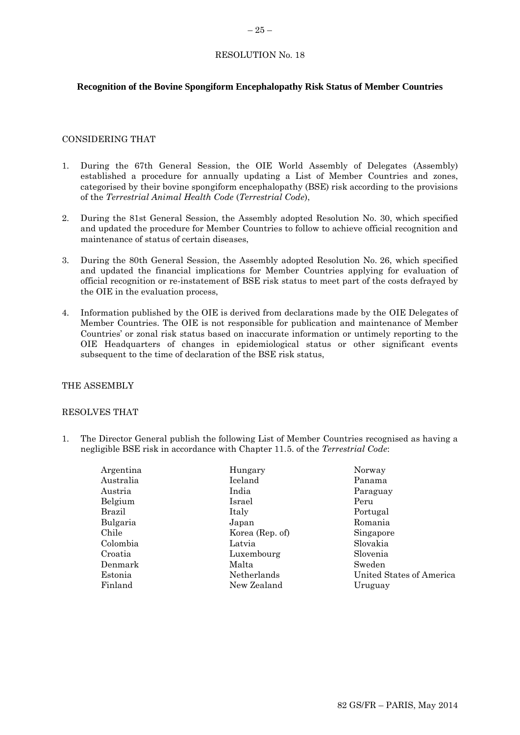# <span id="page-24-0"></span>**Recognition of the Bovine Spongiform Encephalopathy Risk Status of Member Countries**

#### CONSIDERING THAT

- 1. During the 67th General Session, the OIE World Assembly of Delegates (Assembly) established a procedure for annually updating a List of Member Countries and zones, categorised by their bovine spongiform encephalopathy (BSE) risk according to the provisions of the *Terrestrial Animal Health Code* (*Terrestrial Code*),
- 2. During the 81st General Session, the Assembly adopted Resolution No. 30, which specified and updated the procedure for Member Countries to follow to achieve official recognition and maintenance of status of certain diseases,
- 3. During the 80th General Session, the Assembly adopted Resolution No. 26, which specified and updated the financial implications for Member Countries applying for evaluation of official recognition or re-instatement of BSE risk status to meet part of the costs defrayed by the OIE in the evaluation process,
- 4. Information published by the OIE is derived from declarations made by the OIE Delegates of Member Countries. The OIE is not responsible for publication and maintenance of Member Countries' or zonal risk status based on inaccurate information or untimely reporting to the OIE Headquarters of changes in epidemiological status or other significant events subsequent to the time of declaration of the BSE risk status,

#### THE ASSEMBLY

#### RESOLVES THAT

1. The Director General publish the following List of Member Countries recognised as having a negligible BSE risk in accordance with Chapter 11.5. of the *Terrestrial Code*:

| Argentina | Hungary         | Norway                   |
|-----------|-----------------|--------------------------|
| Australia | Iceland         | Panama                   |
| Austria   | India           | Paraguay                 |
| Belgium   | Israel          | Peru                     |
| Brazil    | Italy           | Portugal                 |
| Bulgaria  | Japan           | Romania                  |
| Chile     | Korea (Rep. of) | Singapore                |
| Colombia  | Latvia          | Slovakia                 |
| Croatia   | Luxembourg      | Slovenia                 |
| Denmark   | Malta           | Sweden                   |
| Estonia   | Netherlands     | United States of America |
| Finland   | New Zealand     | Uruguay                  |
|           |                 |                          |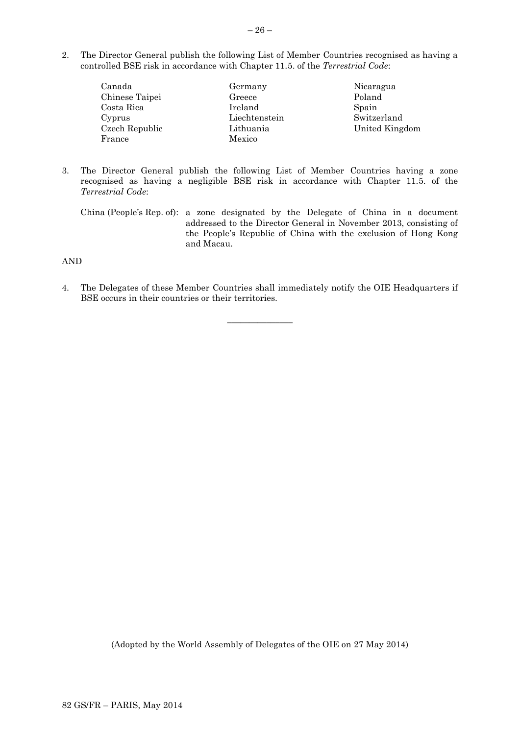2. The Director General publish the following List of Member Countries recognised as having a controlled BSE risk in accordance with Chapter 11.5. of the *Terrestrial Code*:

| Germany       | Nicaragua      |
|---------------|----------------|
| Greece        | Poland         |
| Ireland       | Spain          |
| Liechtenstein | Switzerland    |
| Lithuania     | United Kingdom |
| Mexico        |                |
|               |                |

3. The Director General publish the following List of Member Countries having a zone recognised as having a negligible BSE risk in accordance with Chapter 11.5. of the *Terrestrial Code*:

China (People's Rep. of): a zone designated by the Delegate of China in a document addressed to the Director General in November 2013, consisting of the People's Republic of China with the exclusion of Hong Kong and Macau.

# AND

4. The Delegates of these Member Countries shall immediately notify the OIE Headquarters if BSE occurs in their countries or their territories.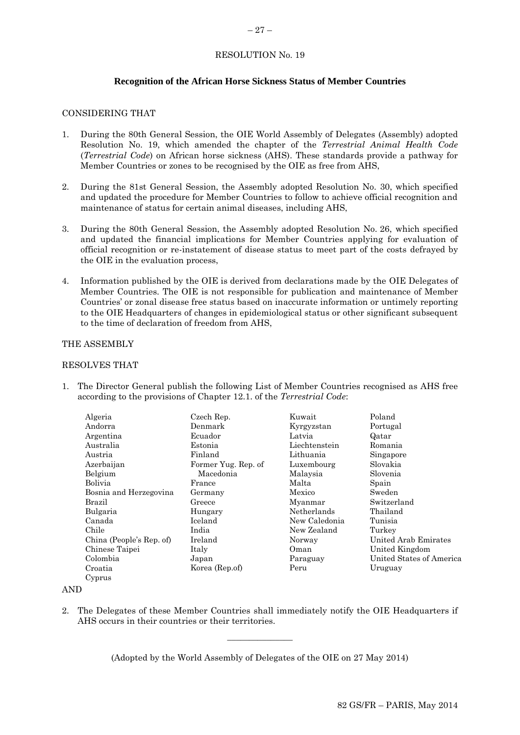# <span id="page-26-0"></span>**Recognition of the African Horse Sickness Status of Member Countries**

## CONSIDERING THAT

- 1. During the 80th General Session, the OIE World Assembly of Delegates (Assembly) adopted Resolution No. 19, which amended the chapter of the *Terrestrial Animal Health Code*  (*Terrestrial Code*) on African horse sickness (AHS). These standards provide a pathway for Member Countries or zones to be recognised by the OIE as free from AHS,
- 2. During the 81st General Session, the Assembly adopted Resolution No. 30, which specified and updated the procedure for Member Countries to follow to achieve official recognition and maintenance of status for certain animal diseases, including AHS,
- 3. During the 80th General Session, the Assembly adopted Resolution No. 26, which specified and updated the financial implications for Member Countries applying for evaluation of official recognition or re-instatement of disease status to meet part of the costs defrayed by the OIE in the evaluation process,
- 4. Information published by the OIE is derived from declarations made by the OIE Delegates of Member Countries. The OIE is not responsible for publication and maintenance of Member Countries' or zonal disease free status based on inaccurate information or untimely reporting to the OIE Headquarters of changes in epidemiological status or other significant subsequent to the time of declaration of freedom from AHS,

#### THE ASSEMBLY

#### RESOLVES THAT

1. The Director General publish the following List of Member Countries recognised as AHS free according to the provisions of Chapter 12.1. of the *Terrestrial Code*:

| Algeria                  | Czech Rep.          | Kuwait        | Poland                   |
|--------------------------|---------------------|---------------|--------------------------|
| Andorra                  | Denmark             | Kyrgyzstan    | Portugal                 |
| Argentina                | Ecuador             | Latvia        | Qatar                    |
| Australia                | Estonia             | Liechtenstein | Romania                  |
| Austria                  | Finland             | Lithuania     | Singapore                |
| Azerbaijan               | Former Yug. Rep. of | Luxembourg    | Slovakia                 |
| Belgium                  | Macedonia           | Malaysia      | Slovenia                 |
| <b>Bolivia</b>           | France              | Malta         | Spain                    |
| Bosnia and Herzegovina   | Germany             | Mexico        | Sweden                   |
| Brazil                   | Greece              | Myanmar       | Switzerland              |
| Bulgaria                 | Hungary             | Netherlands   | Thailand                 |
| Canada                   | Iceland             | New Caledonia | Tunisia                  |
| Chile                    | India               | New Zealand   | Turkey                   |
| China (People's Rep. of) | Ireland             | Norway        | United Arab Emirates     |
| Chinese Taipei           | Italy               | Oman          | United Kingdom           |
| Colombia                 | Japan               | Paraguay      | United States of America |
| Croatia                  | Korea (Rep.of)      | Peru          | Uruguay                  |
| Cyprus                   |                     |               |                          |

AND

2. The Delegates of these Member Countries shall immediately notify the OIE Headquarters if AHS occurs in their countries or their territories.

(Adopted by the World Assembly of Delegates of the OIE on 27 May 2014)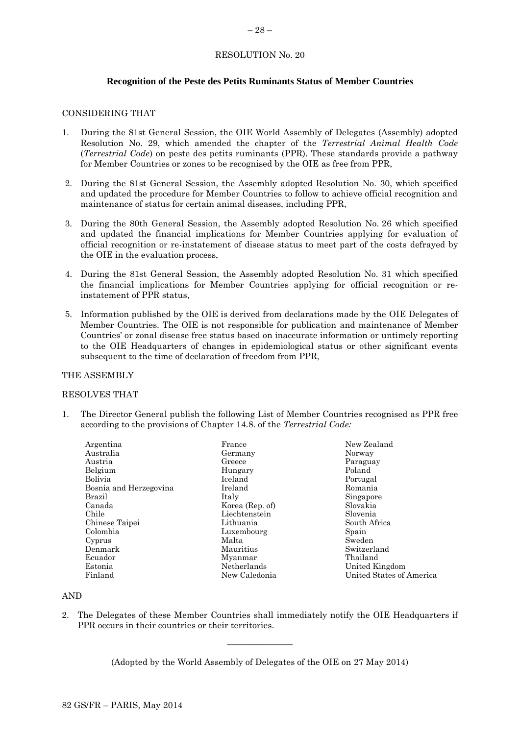## <span id="page-27-0"></span>**Recognition of the Peste des Petits Ruminants Status of Member Countries**

# CONSIDERING THAT

- 1. During the 81st General Session, the OIE World Assembly of Delegates (Assembly) adopted Resolution No. 29, which amended the chapter of the *Terrestrial Animal Health Code*  (*Terrestrial Code*) on peste des petits ruminants (PPR). These standards provide a pathway for Member Countries or zones to be recognised by the OIE as free from PPR,
- 2. During the 81st General Session, the Assembly adopted Resolution No. 30, which specified and updated the procedure for Member Countries to follow to achieve official recognition and maintenance of status for certain animal diseases, including PPR,
- 3. During the 80th General Session, the Assembly adopted Resolution No. 26 which specified and updated the financial implications for Member Countries applying for evaluation of official recognition or re-instatement of disease status to meet part of the costs defrayed by the OIE in the evaluation process,
- 4. During the 81st General Session, the Assembly adopted Resolution No. 31 which specified the financial implications for Member Countries applying for official recognition or reinstatement of PPR status,
- 5. Information published by the OIE is derived from declarations made by the OIE Delegates of Member Countries. The OIE is not responsible for publication and maintenance of Member Countries' or zonal disease free status based on inaccurate information or untimely reporting to the OIE Headquarters of changes in epidemiological status or other significant events subsequent to the time of declaration of freedom from PPR,

#### THE ASSEMBLY

#### RESOLVES THAT

1. The Director General publish the following List of Member Countries recognised as PPR free according to the provisions of Chapter 14.8. of the *Terrestrial Code:*

| Argentina              |  |
|------------------------|--|
| Australia              |  |
| Austria                |  |
| Belgium                |  |
| Bolivia                |  |
| Bosnia and Herzegovina |  |
| Brazil                 |  |
| Canada                 |  |
| Chile                  |  |
| Chinese Taipei         |  |
| Colombia               |  |
| Cyprus                 |  |
| Denmark                |  |
| Ecuador                |  |
| Estonia                |  |
| Finland                |  |

France Germany Greece Hungary Iceland Ireland Italy Korea (Rep. of) Liechtenstein Lithuania Luxembourg Malta Mauritius Myanmar Netherlands New Caledonia New Zealand Norway Paraguay Poland Portugal Romania Singapore Slovakia Slovenia South Africa Spain Sweden Switzerland Thailand United Kingdom United States of America

#### AND

2. The Delegates of these Member Countries shall immediately notify the OIE Headquarters if PPR occurs in their countries or their territories.

(Adopted by the World Assembly of Delegates of the OIE on 27 May 2014)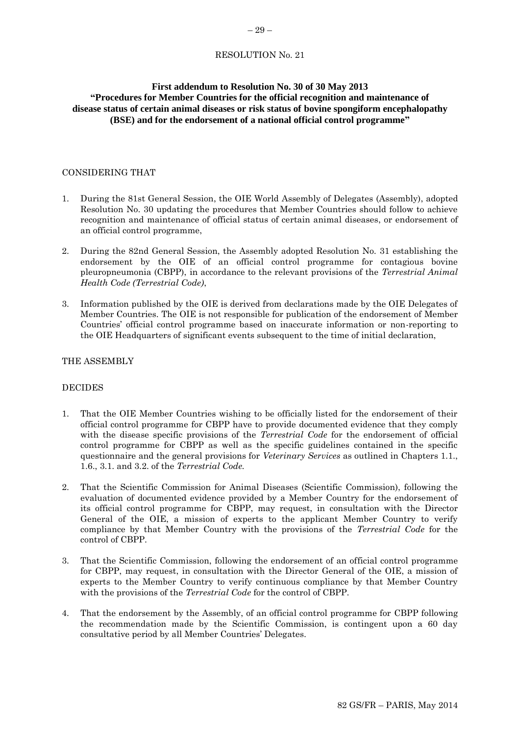#### <span id="page-28-0"></span>– 29 –

#### RESOLUTION No. 21

# **First addendum to Resolution No. 30 of 30 May 2013 "Procedures for Member Countries for the official recognition and maintenance of disease status of certain animal diseases or risk status of bovine spongiform encephalopathy (BSE) and for the endorsement of a national official control programme"**

#### CONSIDERING THAT

- 1. During the 81st General Session, the OIE World Assembly of Delegates (Assembly), adopted Resolution No. 30 updating the procedures that Member Countries should follow to achieve recognition and maintenance of official status of certain animal diseases, or endorsement of an official control programme,
- 2. During the 82nd General Session, the Assembly adopted Resolution No. 31 establishing the endorsement by the OIE of an official control programme for contagious bovine pleuropneumonia (CBPP), in accordance to the relevant provisions of the *Terrestrial Animal Health Code (Terrestrial Code)*,
- 3. Information published by the OIE is derived from declarations made by the OIE Delegates of Member Countries. The OIE is not responsible for publication of the endorsement of Member Countries' official control programme based on inaccurate information or non-reporting to the OIE Headquarters of significant events subsequent to the time of initial declaration,

#### THE ASSEMBLY

#### DECIDES

- 1. That the OIE Member Countries wishing to be officially listed for the endorsement of their official control programme for CBPP have to provide documented evidence that they comply with the disease specific provisions of the *Terrestrial Code* for the endorsement of official control programme for CBPP as well as the specific guidelines contained in the specific questionnaire and the general provisions for *Veterinary Services* as outlined in Chapters 1.1., 1.6., 3.1. and 3.2. of the *Terrestrial Code.*
- 2. That the Scientific Commission for Animal Diseases (Scientific Commission), following the evaluation of documented evidence provided by a Member Country for the endorsement of its official control programme for CBPP, may request, in consultation with the Director General of the OIE, a mission of experts to the applicant Member Country to verify compliance by that Member Country with the provisions of the *Terrestrial Code* for the control of CBPP.
- 3. That the Scientific Commission, following the endorsement of an official control programme for CBPP, may request, in consultation with the Director General of the OIE, a mission of experts to the Member Country to verify continuous compliance by that Member Country with the provisions of the *Terrestrial Code* for the control of CBPP.
- 4. That the endorsement by the Assembly, of an official control programme for CBPP following the recommendation made by the Scientific Commission, is contingent upon a 60 day consultative period by all Member Countries' Delegates.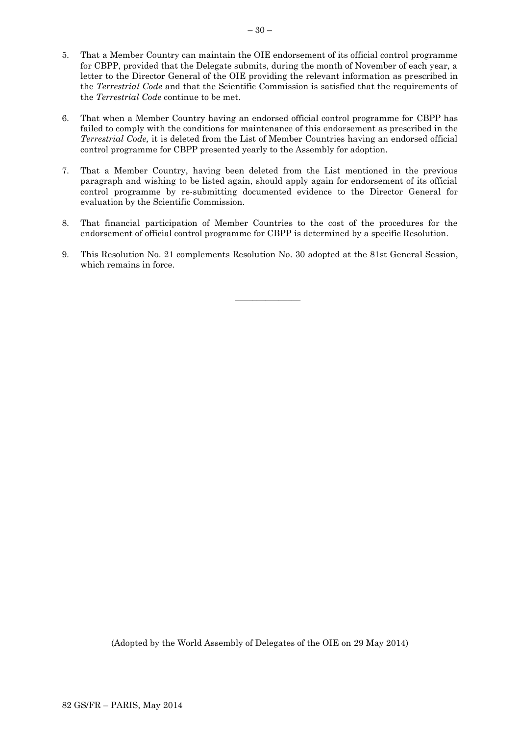- 5. That a Member Country can maintain the OIE endorsement of its official control programme for CBPP, provided that the Delegate submits, during the month of November of each year, a letter to the Director General of the OIE providing the relevant information as prescribed in the *Terrestrial Code* and that the Scientific Commission is satisfied that the requirements of the *Terrestrial Code* continue to be met.
- 6. That when a Member Country having an endorsed official control programme for CBPP has failed to comply with the conditions for maintenance of this endorsement as prescribed in the *Terrestrial Code,* it is deleted from the List of Member Countries having an endorsed official control programme for CBPP presented yearly to the Assembly for adoption.
- 7. That a Member Country, having been deleted from the List mentioned in the previous paragraph and wishing to be listed again, should apply again for endorsement of its official control programme by re-submitting documented evidence to the Director General for evaluation by the Scientific Commission.
- 8. That financial participation of Member Countries to the cost of the procedures for the endorsement of official control programme for CBPP is determined by a specific Resolution.
- 9. This Resolution No. 21 complements Resolution No. 30 adopted at the 81st General Session, which remains in force.

 $\overline{\phantom{a}}$  , where  $\overline{\phantom{a}}$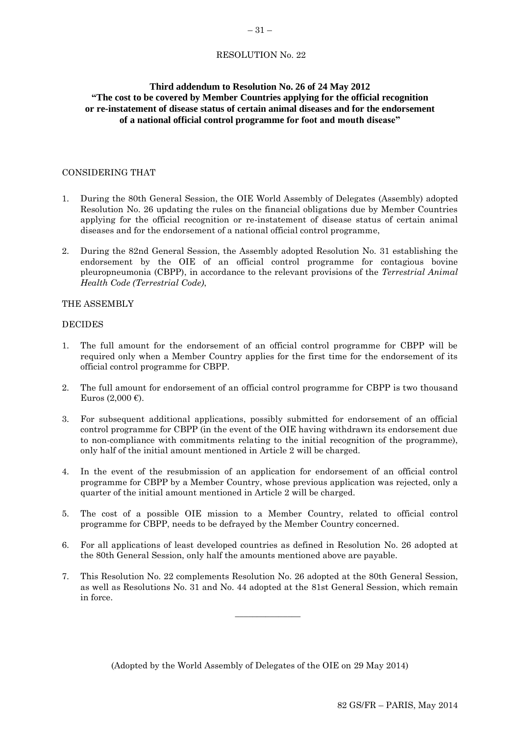# <span id="page-30-0"></span>**Third addendum to Resolution No. 26 of 24 May 2012 "The cost to be covered by Member Countries applying for the official recognition or re-instatement of disease status of certain animal diseases and for the endorsement of a national official control programme for foot and mouth disease"**

#### CONSIDERING THAT

- 1. During the 80th General Session, the OIE World Assembly of Delegates (Assembly) adopted Resolution No. 26 updating the rules on the financial obligations due by Member Countries applying for the official recognition or re-instatement of disease status of certain animal diseases and for the endorsement of a national official control programme,
- 2. During the 82nd General Session, the Assembly adopted Resolution No. 31 establishing the endorsement by the OIE of an official control programme for contagious bovine pleuropneumonia (CBPP), in accordance to the relevant provisions of the *Terrestrial Animal Health Code (Terrestrial Code)*,

#### THE ASSEMBLY

#### DECIDES

- 1. The full amount for the endorsement of an official control programme for CBPP will be required only when a Member Country applies for the first time for the endorsement of its official control programme for CBPP.
- 2. The full amount for endorsement of an official control programme for CBPP is two thousand Euros  $(2.000 \text{ E})$ .
- 3. For subsequent additional applications, possibly submitted for endorsement of an official control programme for CBPP (in the event of the OIE having withdrawn its endorsement due to non-compliance with commitments relating to the initial recognition of the programme), only half of the initial amount mentioned in Article 2 will be charged.
- 4. In the event of the resubmission of an application for endorsement of an official control programme for CBPP by a Member Country, whose previous application was rejected, only a quarter of the initial amount mentioned in Article 2 will be charged.
- 5. The cost of a possible OIE mission to a Member Country, related to official control programme for CBPP, needs to be defrayed by the Member Country concerned.
- 6. For all applications of least developed countries as defined in Resolution No. 26 adopted at the 80th General Session, only half the amounts mentioned above are payable.
- 7. This Resolution No. 22 complements Resolution No. 26 adopted at the 80th General Session, as well as Resolutions No. 31 and No. 44 adopted at the 81st General Session, which remain in force.

 $\overline{\phantom{a}}$  , where  $\overline{\phantom{a}}$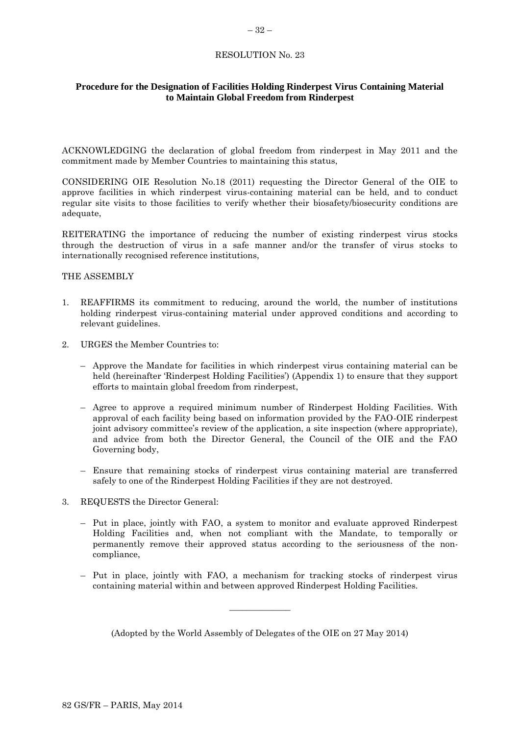# <span id="page-31-0"></span>**Procedure for the Designation of Facilities Holding Rinderpest Virus Containing Material to Maintain Global Freedom from Rinderpest**

ACKNOWLEDGING the declaration of global freedom from rinderpest in May 2011 and the commitment made by Member Countries to maintaining this status,

CONSIDERING OIE Resolution No.18 (2011) requesting the Director General of the OIE to approve facilities in which rinderpest virus-containing material can be held, and to conduct regular site visits to those facilities to verify whether their biosafety/biosecurity conditions are adequate,

REITERATING the importance of reducing the number of existing rinderpest virus stocks through the destruction of virus in a safe manner and/or the transfer of virus stocks to internationally recognised reference institutions,

#### THE ASSEMBLY

- 1. REAFFIRMS its commitment to reducing, around the world, the number of institutions holding rinderpest virus-containing material under approved conditions and according to relevant guidelines.
- 2. URGES the Member Countries to:
	- Approve the Mandate for facilities in which rinderpest virus containing material can be held (hereinafter 'Rinderpest Holding Facilities') (Appendix 1) to ensure that they support efforts to maintain global freedom from rinderpest,
	- Agree to approve a required minimum number of Rinderpest Holding Facilities. With approval of each facility being based on information provided by the FAO-OIE rinderpest joint advisory committee's review of the application, a site inspection (where appropriate), and advice from both the Director General, the Council of the OIE and the FAO Governing body,
	- Ensure that remaining stocks of rinderpest virus containing material are transferred safely to one of the Rinderpest Holding Facilities if they are not destroyed.
- 3. REQUESTS the Director General:
	- Put in place, jointly with FAO, a system to monitor and evaluate approved Rinderpest Holding Facilities and, when not compliant with the Mandate, to temporally or permanently remove their approved status according to the seriousness of the noncompliance,
	- Put in place, jointly with FAO, a mechanism for tracking stocks of rinderpest virus containing material within and between approved Rinderpest Holding Facilities.

(Adopted by the World Assembly of Delegates of the OIE on 27 May 2014)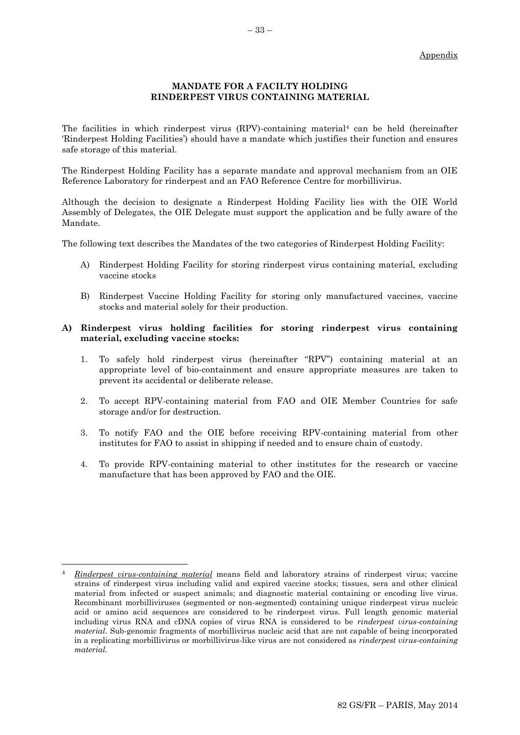#### **MANDATE FOR A FACILTY HOLDING RINDERPEST VIRUS CONTAINING MATERIAL**

The facilities in which rinderpest virus (RPV)-containing material<sup>4</sup> can be held (hereinafter 'Rinderpest Holding Facilities') should have a mandate which justifies their function and ensures safe storage of this material.

The Rinderpest Holding Facility has a separate mandate and approval mechanism from an OIE Reference Laboratory for rinderpest and an FAO Reference Centre for morbillivirus.

Although the decision to designate a Rinderpest Holding Facility lies with the OIE World Assembly of Delegates, the OIE Delegate must support the application and be fully aware of the Mandate.

The following text describes the Mandates of the two categories of Rinderpest Holding Facility:

- A) Rinderpest Holding Facility for storing rinderpest virus containing material, excluding vaccine stocks
- B) Rinderpest Vaccine Holding Facility for storing only manufactured vaccines, vaccine stocks and material solely for their production.

#### **A) Rinderpest virus holding facilities for storing rinderpest virus containing material, excluding vaccine stocks:**

- 1. To safely hold rinderpest virus (hereinafter "RPV") containing material at an appropriate level of bio-containment and ensure appropriate measures are taken to prevent its accidental or deliberate release.
- 2. To accept RPV-containing material from FAO and OIE Member Countries for safe storage and/or for destruction.
- 3. To notify FAO and the OIE before receiving RPV-containing material from other institutes for FAO to assist in shipping if needed and to ensure chain of custody.
- 4. To provide RPV-containing material to other institutes for the research or vaccine manufacture that has been approved by FAO and the OIE.

l

<sup>4</sup> *Rinderpest virus-containing material* means field and laboratory strains of rinderpest virus; vaccine strains of rinderpest virus including valid and expired vaccine stocks; tissues, sera and other clinical material from infected or suspect animals; and diagnostic material containing or encoding live virus. Recombinant morbilliviruses (segmented or non-segmented) containing unique rinderpest virus nucleic acid or amino acid sequences are considered to be rinderpest virus. Full length genomic material including virus RNA and cDNA copies of virus RNA is considered to be *rinderpest virus-containing material*. Sub-genomic fragments of morbillivirus nucleic acid that are not capable of being incorporated in a replicating morbillivirus or morbillivirus-like virus are not considered as *rinderpest virus-containing material.*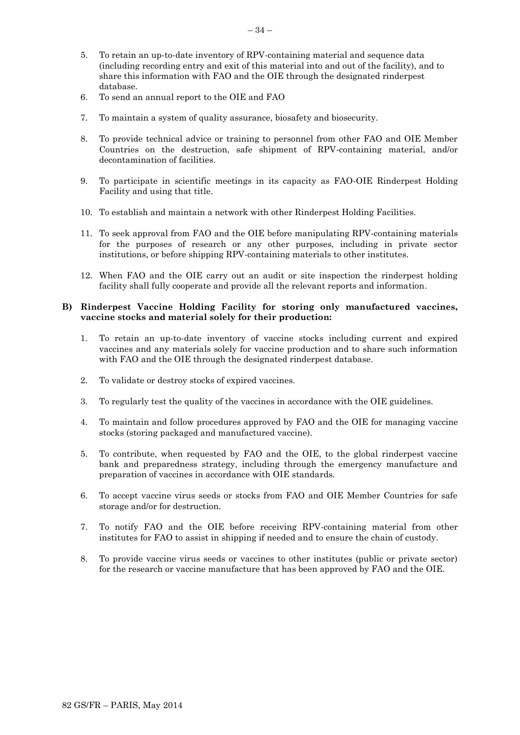- 5. To retain an up-to-date inventory of RPV-containing material and sequence data (including recording entry and exit of this material into and out of the facility), and to share this information with FAO and the OIE through the designated rinderpest database.
- 6. To send an annual report to the OIE and FAO
- 7. To maintain a system of quality assurance, biosafety and biosecurity.
- 8. To provide technical advice or training to personnel from other FAO and OIE Member Countries on the destruction, safe shipment of RPV-containing material, and/or decontamination of facilities.
- 9. To participate in scientific meetings in its capacity as FAO-OIE Rinderpest Holding Facility and using that title.
- 10. To establish and maintain a network with other Rinderpest Holding Facilities.
- 11. To seek approval from FAO and the OIE before manipulating RPV-containing materials for the purposes of research or any other purposes, including in private sector institutions, or before shipping RPV-containing materials to other institutes.
- 12. When FAO and the OIE carry out an audit or site inspection the rinderpest holding facility shall fully cooperate and provide all the relevant reports and information.

#### **B) Rinderpest Vaccine Holding Facility for storing only manufactured vaccines, vaccine stocks and material solely for their production:**

- 1. To retain an up-to-date inventory of vaccine stocks including current and expired vaccines and any materials solely for vaccine production and to share such information with FAO and the OIE through the designated rinderpest database.
- 2. To validate or destroy stocks of expired vaccines.
- 3. To regularly test the quality of the vaccines in accordance with the OIE guidelines.
- 4. To maintain and follow procedures approved by FAO and the OIE for managing vaccine stocks (storing packaged and manufactured vaccine).
- 5. To contribute, when requested by FAO and the OIE, to the global rinderpest vaccine bank and preparedness strategy, including through the emergency manufacture and preparation of vaccines in accordance with OIE standards.
- 6. To accept vaccine virus seeds or stocks from FAO and OIE Member Countries for safe storage and/or for destruction.
- 7. To notify FAO and the OIE before receiving RPV-containing material from other institutes for FAO to assist in shipping if needed and to ensure the chain of custody.
- 8. To provide vaccine virus seeds or vaccines to other institutes (public or private sector) for the research or vaccine manufacture that has been approved by FAO and the OIE.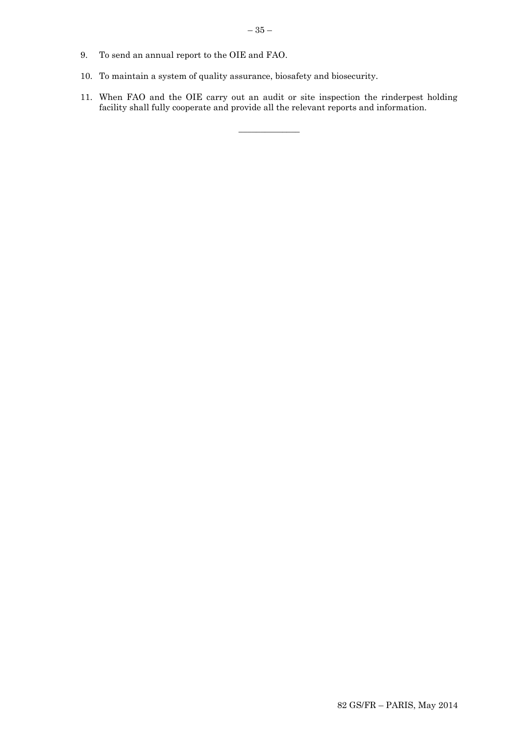- 9. To send an annual report to the OIE and FAO.
- 10. To maintain a system of quality assurance, biosafety and biosecurity.
- 11. When FAO and the OIE carry out an audit or site inspection the rinderpest holding facility shall fully cooperate and provide all the relevant reports and information.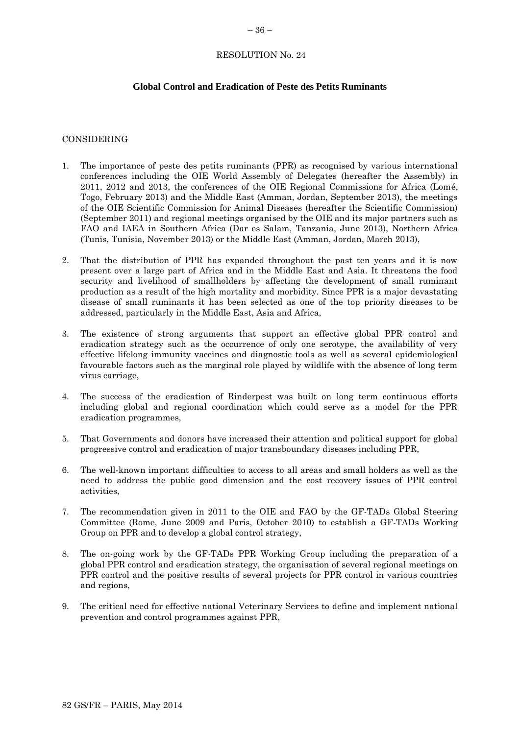#### <span id="page-35-0"></span>– 36 –

# RESOLUTION No. 24

# **Global Control and Eradication of Peste des Petits Ruminants**

#### CONSIDERING

- 1. The importance of peste des petits ruminants (PPR) as recognised by various international conferences including the OIE World Assembly of Delegates (hereafter the Assembly) in 2011, 2012 and 2013, the conferences of the OIE Regional Commissions for Africa (Lomé, Togo, February 2013) and the Middle East (Amman, Jordan, September 2013), the meetings of the OIE Scientific Commission for Animal Diseases (hereafter the Scientific Commission) (September 2011) and regional meetings organised by the OIE and its major partners such as FAO and IAEA in Southern Africa (Dar es Salam, Tanzania, June 2013), Northern Africa (Tunis, Tunisia, November 2013) or the Middle East (Amman, Jordan, March 2013),
- 2. That the distribution of PPR has expanded throughout the past ten years and it is now present over a large part of Africa and in the Middle East and Asia. It threatens the food security and livelihood of smallholders by affecting the development of small ruminant production as a result of the high mortality and morbidity. Since PPR is a major devastating disease of small ruminants it has been selected as one of the top priority diseases to be addressed, particularly in the Middle East, Asia and Africa,
- 3. The existence of strong arguments that support an effective global PPR control and eradication strategy such as the occurrence of only one serotype, the availability of very effective lifelong immunity vaccines and diagnostic tools as well as several epidemiological favourable factors such as the marginal role played by wildlife with the absence of long term virus carriage,
- 4. The success of the eradication of Rinderpest was built on long term continuous efforts including global and regional coordination which could serve as a model for the PPR eradication programmes,
- 5. That Governments and donors have increased their attention and political support for global progressive control and eradication of major transboundary diseases including PPR,
- 6. The well-known important difficulties to access to all areas and small holders as well as the need to address the public good dimension and the cost recovery issues of PPR control activities,
- 7. The recommendation given in 2011 to the OIE and FAO by the GF-TADs Global Steering Committee (Rome, June 2009 and Paris, October 2010) to establish a GF-TADs Working Group on PPR and to develop a global control strategy,
- 8. The on-going work by the GF-TADs PPR Working Group including the preparation of a global PPR control and eradication strategy, the organisation of several regional meetings on PPR control and the positive results of several projects for PPR control in various countries and regions,
- 9. The critical need for effective national Veterinary Services to define and implement national prevention and control programmes against PPR,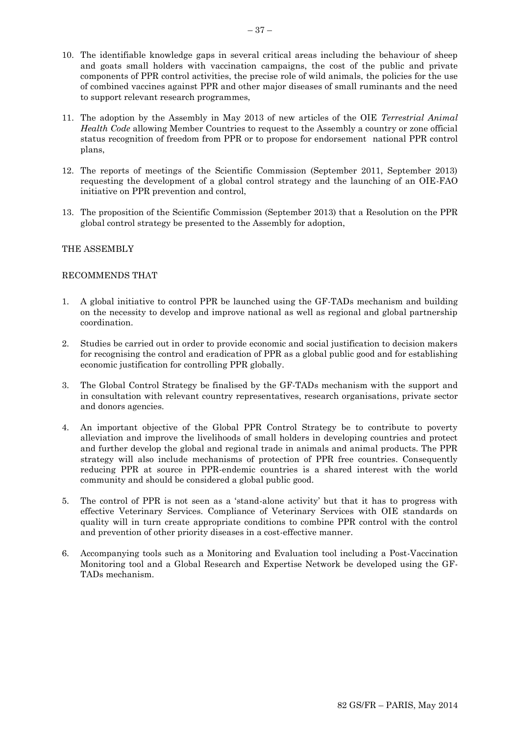- 10. The identifiable knowledge gaps in several critical areas including the behaviour of sheep and goats small holders with vaccination campaigns, the cost of the public and private components of PPR control activities, the precise role of wild animals, the policies for the use of combined vaccines against PPR and other major diseases of small ruminants and the need to support relevant research programmes,
- 11. The adoption by the Assembly in May 2013 of new articles of the OIE *Terrestrial Animal Health Code* allowing Member Countries to request to the Assembly a country or zone official status recognition of freedom from PPR or to propose for endorsement national PPR control plans,
- 12. The reports of meetings of the Scientific Commission (September 2011, September 2013) requesting the development of a global control strategy and the launching of an OIE-FAO initiative on PPR prevention and control,
- 13. The proposition of the Scientific Commission (September 2013) that a Resolution on the PPR global control strategy be presented to the Assembly for adoption,

## THE ASSEMBLY

## RECOMMENDS THAT

- 1. A global initiative to control PPR be launched using the GF-TADs mechanism and building on the necessity to develop and improve national as well as regional and global partnership coordination.
- 2. Studies be carried out in order to provide economic and social justification to decision makers for recognising the control and eradication of PPR as a global public good and for establishing economic justification for controlling PPR globally.
- 3. The Global Control Strategy be finalised by the GF-TADs mechanism with the support and in consultation with relevant country representatives, research organisations, private sector and donors agencies.
- 4. An important objective of the Global PPR Control Strategy be to contribute to poverty alleviation and improve the livelihoods of small holders in developing countries and protect and further develop the global and regional trade in animals and animal products. The PPR strategy will also include mechanisms of protection of PPR free countries. Consequently reducing PPR at source in PPR-endemic countries is a shared interest with the world community and should be considered a global public good.
- 5. The control of PPR is not seen as a 'stand-alone activity' but that it has to progress with effective Veterinary Services. Compliance of Veterinary Services with OIE standards on quality will in turn create appropriate conditions to combine PPR control with the control and prevention of other priority diseases in a cost-effective manner.
- 6. Accompanying tools such as a Monitoring and Evaluation tool including a Post-Vaccination Monitoring tool and a Global Research and Expertise Network be developed using the GF-TADs mechanism.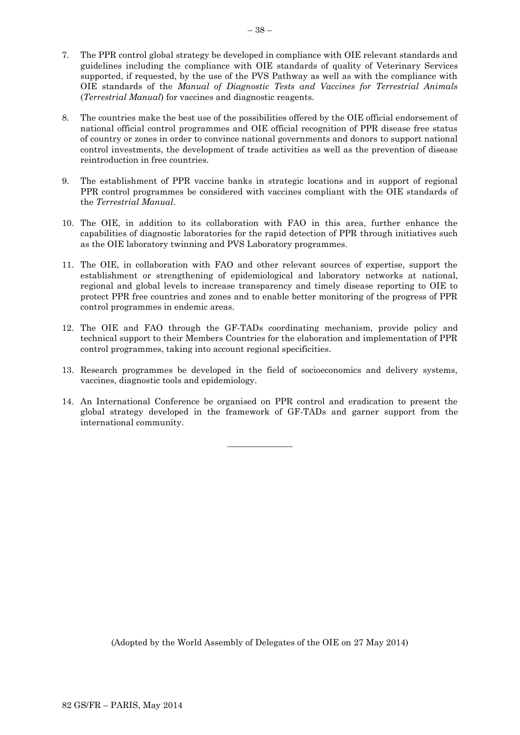- 7. The PPR control global strategy be developed in compliance with OIE relevant standards and guidelines including the compliance with OIE standards of quality of Veterinary Services supported, if requested, by the use of the PVS Pathway as well as with the compliance with OIE standards of the *Manual of Diagnostic Tests and Vaccines for Terrestrial Animals* (*Terrestrial Manual*) for vaccines and diagnostic reagents.
- 8. The countries make the best use of the possibilities offered by the OIE official endorsement of national official control programmes and OIE official recognition of PPR disease free status of country or zones in order to convince national governments and donors to support national control investments, the development of trade activities as well as the prevention of disease reintroduction in free countries.
- 9. The establishment of PPR vaccine banks in strategic locations and in support of regional PPR control programmes be considered with vaccines compliant with the OIE standards of the *Terrestrial Manual*.
- 10. The OIE, in addition to its collaboration with FAO in this area, further enhance the capabilities of diagnostic laboratories for the rapid detection of PPR through initiatives such as the OIE laboratory twinning and PVS Laboratory programmes.
- 11. The OIE, in collaboration with FAO and other relevant sources of expertise, support the establishment or strengthening of epidemiological and laboratory networks at national, regional and global levels to increase transparency and timely disease reporting to OIE to protect PPR free countries and zones and to enable better monitoring of the progress of PPR control programmes in endemic areas.
- 12. The OIE and FAO through the GF-TADs coordinating mechanism, provide policy and technical support to their Members Countries for the elaboration and implementation of PPR control programmes, taking into account regional specificities.
- 13. Research programmes be developed in the field of socioeconomics and delivery systems, vaccines, diagnostic tools and epidemiology.
- 14. An International Conference be organised on PPR control and eradication to present the global strategy developed in the framework of GF-TADs and garner support from the international community.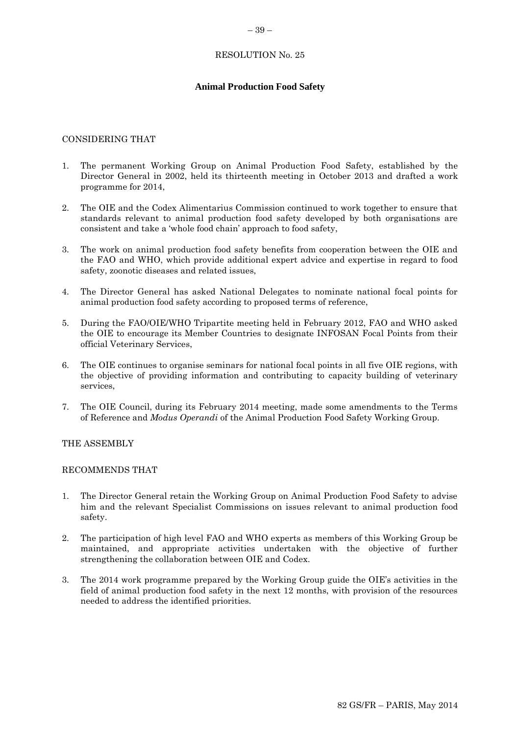# <span id="page-38-0"></span>**Animal Production Food Safety**

# CONSIDERING THAT

- 1. The permanent Working Group on Animal Production Food Safety, established by the Director General in 2002, held its thirteenth meeting in October 2013 and drafted a work programme for 2014,
- 2. The OIE and the Codex Alimentarius Commission continued to work together to ensure that standards relevant to animal production food safety developed by both organisations are consistent and take a 'whole food chain' approach to food safety,
- 3. The work on animal production food safety benefits from cooperation between the OIE and the FAO and WHO, which provide additional expert advice and expertise in regard to food safety, zoonotic diseases and related issues,
- 4. The Director General has asked National Delegates to nominate national focal points for animal production food safety according to proposed terms of reference,
- 5. During the FAO/OIE/WHO Tripartite meeting held in February 2012, FAO and WHO asked the OIE to encourage its Member Countries to designate INFOSAN Focal Points from their official Veterinary Services,
- 6. The OIE continues to organise seminars for national focal points in all five OIE regions, with the objective of providing information and contributing to capacity building of veterinary services,
- 7. The OIE Council, during its February 2014 meeting, made some amendments to the Terms of Reference and *Modus Operandi* of the Animal Production Food Safety Working Group.

#### THE ASSEMBLY

#### RECOMMENDS THAT

- 1. The Director General retain the Working Group on Animal Production Food Safety to advise him and the relevant Specialist Commissions on issues relevant to animal production food safety.
- 2. The participation of high level FAO and WHO experts as members of this Working Group be maintained, and appropriate activities undertaken with the objective of further strengthening the collaboration between OIE and Codex.
- 3. The 2014 work programme prepared by the Working Group guide the OIE's activities in the field of animal production food safety in the next 12 months, with provision of the resources needed to address the identified priorities.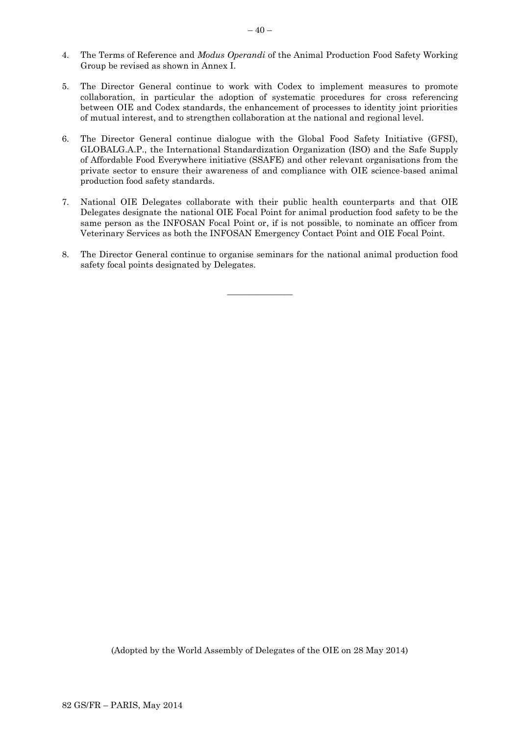- 4. The Terms of Reference and *Modus Operandi* of the Animal Production Food Safety Working Group be revised as shown in Annex I.
- 5. The Director General continue to work with Codex to implement measures to promote collaboration, in particular the adoption of systematic procedures for cross referencing between OIE and Codex standards, the enhancement of processes to identity joint priorities of mutual interest, and to strengthen collaboration at the national and regional level.
- 6. The Director General continue dialogue with the Global Food Safety Initiative (GFSI), GLOBALG.A.P., the International Standardization Organization (ISO) and the Safe Supply of Affordable Food Everywhere initiative (SSAFE) and other relevant organisations from the private sector to ensure their awareness of and compliance with OIE science-based animal production food safety standards.
- 7. National OIE Delegates collaborate with their public health counterparts and that OIE Delegates designate the national OIE Focal Point for animal production food safety to be the same person as the INFOSAN Focal Point or, if is not possible, to nominate an officer from Veterinary Services as both the INFOSAN Emergency Contact Point and OIE Focal Point.
- 8. The Director General continue to organise seminars for the national animal production food safety focal points designated by Delegates.

 $\overline{\phantom{a}}$  , where  $\overline{\phantom{a}}$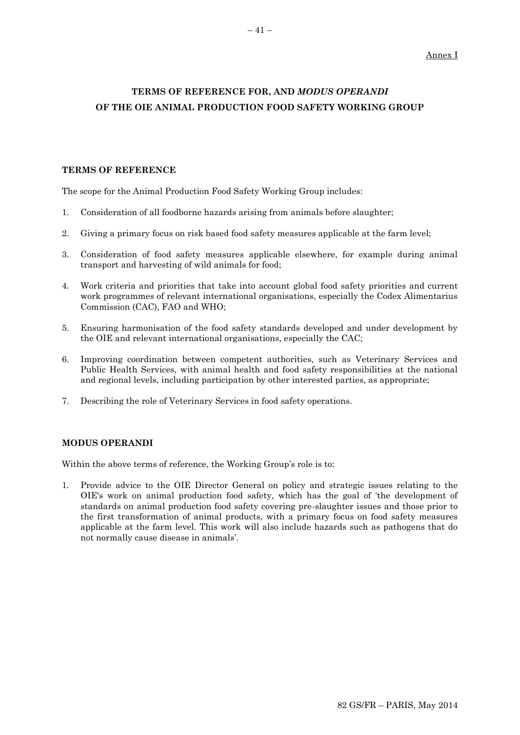# **TERMS OF REFERENCE FOR, AND** *MODUS OPERANDI*  **OF THE OIE ANIMAL PRODUCTION FOOD SAFETY WORKING GROUP**

#### **TERMS OF REFERENCE**

The scope for the Animal Production Food Safety Working Group includes:

- 1. Consideration of all foodborne hazards arising from animals before slaughter;
- 2. Giving a primary focus on risk based food safety measures applicable at the farm level;
- 3. Consideration of food safety measures applicable elsewhere, for example during animal transport and harvesting of wild animals for food;
- 4. Work criteria and priorities that take into account global food safety priorities and current work programmes of relevant international organisations, especially the Codex Alimentarius Commission (CAC), FAO and WHO;
- 5. Ensuring harmonisation of the food safety standards developed and under development by the OIE and relevant international organisations, especially the CAC;
- 6. Improving coordination between competent authorities, such as Veterinary Services and Public Health Services, with animal health and food safety responsibilities at the national and regional levels, including participation by other interested parties, as appropriate;
- 7. Describing the role of Veterinary Services in food safety operations.

#### **MODUS OPERANDI**

Within the above terms of reference, the Working Group's role is to:

1. Provide advice to the OIE Director General on policy and strategic issues relating to the OIE's work on animal production food safety, which has the goal of 'the development of standards on animal production food safety covering pre-slaughter issues and those prior to the first transformation of animal products, with a primary focus on food safety measures applicable at the farm level. This work will also include hazards such as pathogens that do not normally cause disease in animals'.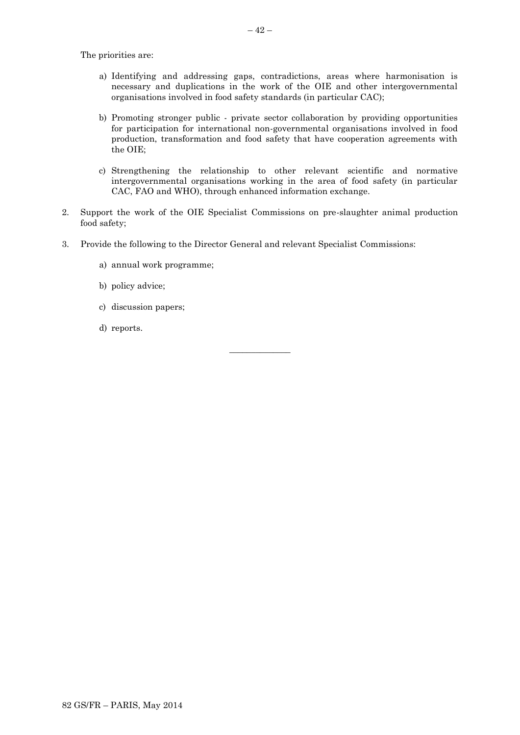The priorities are:

- a) Identifying and addressing gaps, contradictions, areas where harmonisation is necessary and duplications in the work of the OIE and other intergovernmental organisations involved in food safety standards (in particular CAC);
- b) Promoting stronger public private sector collaboration by providing opportunities for participation for international non-governmental organisations involved in food production, transformation and food safety that have cooperation agreements with the OIE;
- c) Strengthening the relationship to other relevant scientific and normative intergovernmental organisations working in the area of food safety (in particular CAC, FAO and WHO), through enhanced information exchange.
- 2. Support the work of the OIE Specialist Commissions on pre-slaughter animal production food safety;

- 3. Provide the following to the Director General and relevant Specialist Commissions:
	- a) annual work programme;
	- b) policy advice;
	- c) discussion papers;
	- d) reports.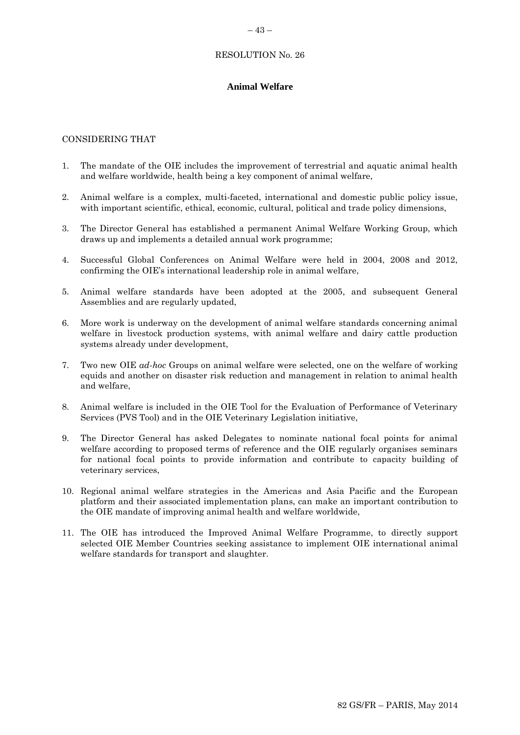# <span id="page-42-0"></span>**Animal Welfare**

## CONSIDERING THAT

- 1. The mandate of the OIE includes the improvement of terrestrial and aquatic animal health and welfare worldwide, health being a key component of animal welfare,
- 2. Animal welfare is a complex, multi-faceted, international and domestic public policy issue, with important scientific, ethical, economic, cultural, political and trade policy dimensions,
- 3. The Director General has established a permanent Animal Welfare Working Group, which draws up and implements a detailed annual work programme;
- 4. Successful Global Conferences on Animal Welfare were held in 2004, 2008 and 2012, confirming the OIE's international leadership role in animal welfare,
- 5. Animal welfare standards have been adopted at the 2005, and subsequent General Assemblies and are regularly updated,
- 6. More work is underway on the development of animal welfare standards concerning animal welfare in livestock production systems, with animal welfare and dairy cattle production systems already under development,
- 7. Two new OIE *ad-hoc* Groups on animal welfare were selected, one on the welfare of working equids and another on disaster risk reduction and management in relation to animal health and welfare,
- 8. Animal welfare is included in the OIE Tool for the Evaluation of Performance of Veterinary Services (PVS Tool) and in the OIE Veterinary Legislation initiative,
- 9. The Director General has asked Delegates to nominate national focal points for animal welfare according to proposed terms of reference and the OIE regularly organises seminars for national focal points to provide information and contribute to capacity building of veterinary services,
- 10. Regional animal welfare strategies in the Americas and Asia Pacific and the European platform and their associated implementation plans, can make an important contribution to the OIE mandate of improving animal health and welfare worldwide,
- 11. The OIE has introduced the Improved Animal Welfare Programme, to directly support selected OIE Member Countries seeking assistance to implement OIE international animal welfare standards for transport and slaughter.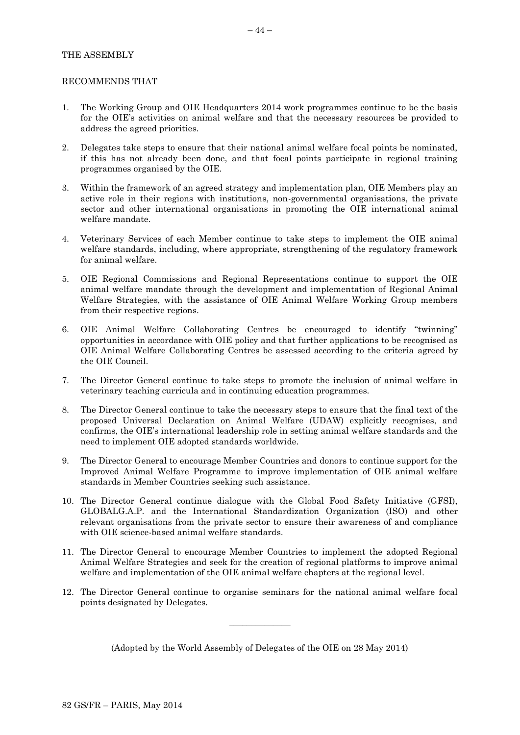## THE ASSEMBLY

#### RECOMMENDS THAT

- 1. The Working Group and OIE Headquarters 2014 work programmes continue to be the basis for the OIE's activities on animal welfare and that the necessary resources be provided to address the agreed priorities.
- 2. Delegates take steps to ensure that their national animal welfare focal points be nominated, if this has not already been done, and that focal points participate in regional training programmes organised by the OIE.
- 3. Within the framework of an agreed strategy and implementation plan, OIE Members play an active role in their regions with institutions, non-governmental organisations, the private sector and other international organisations in promoting the OIE international animal welfare mandate.
- 4. Veterinary Services of each Member continue to take steps to implement the OIE animal welfare standards, including, where appropriate, strengthening of the regulatory framework for animal welfare.
- 5. OIE Regional Commissions and Regional Representations continue to support the OIE animal welfare mandate through the development and implementation of Regional Animal Welfare Strategies, with the assistance of OIE Animal Welfare Working Group members from their respective regions.
- 6. OIE Animal Welfare Collaborating Centres be encouraged to identify "twinning" opportunities in accordance with OIE policy and that further applications to be recognised as OIE Animal Welfare Collaborating Centres be assessed according to the criteria agreed by the OIE Council.
- 7. The Director General continue to take steps to promote the inclusion of animal welfare in veterinary teaching curricula and in continuing education programmes.
- 8. The Director General continue to take the necessary steps to ensure that the final text of the proposed Universal Declaration on Animal Welfare (UDAW) explicitly recognises, and confirms, the OIE's international leadership role in setting animal welfare standards and the need to implement OIE adopted standards worldwide.
- 9. The Director General to encourage Member Countries and donors to continue support for the Improved Animal Welfare Programme to improve implementation of OIE animal welfare standards in Member Countries seeking such assistance.
- 10. The Director General continue dialogue with the Global Food Safety Initiative (GFSI), GLOBALG.A.P. and the International Standardization Organization (ISO) and other relevant organisations from the private sector to ensure their awareness of and compliance with OIE science-based animal welfare standards.
- 11. The Director General to encourage Member Countries to implement the adopted Regional Animal Welfare Strategies and seek for the creation of regional platforms to improve animal welfare and implementation of the OIE animal welfare chapters at the regional level.
- 12. The Director General continue to organise seminars for the national animal welfare focal points designated by Delegates.

 $\overline{\phantom{a}}$  , where  $\overline{\phantom{a}}$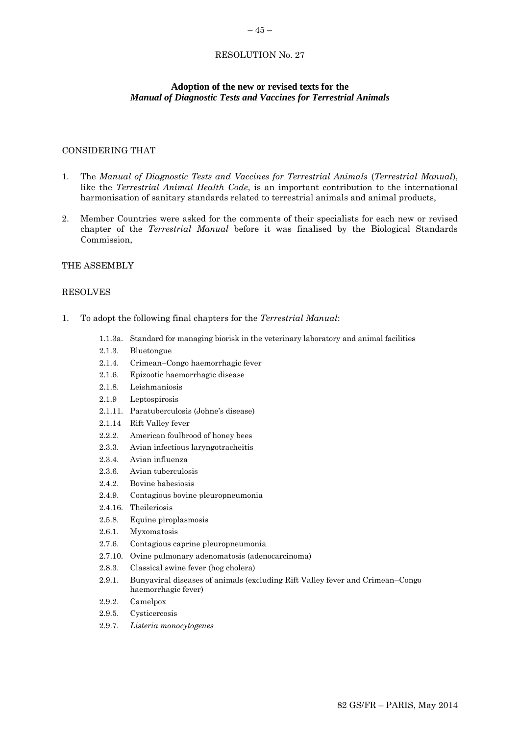# <span id="page-44-0"></span>**Adoption of the new or revised texts for the** *Manual of Diagnostic Tests and Vaccines for Terrestrial Animals*

## CONSIDERING THAT

- 1. The *Manual of Diagnostic Tests and Vaccines for Terrestrial Animals* (*Terrestrial Manual*), like the *Terrestrial Animal Health Code*, is an important contribution to the international harmonisation of sanitary standards related to terrestrial animals and animal products,
- 2. Member Countries were asked for the comments of their specialists for each new or revised chapter of the *Terrestrial Manual* before it was finalised by the Biological Standards Commission,

### THE ASSEMBLY

#### RESOLVES

- 1. To adopt the following final chapters for the *Terrestrial Manual*:
	- 1.1.3a. Standard for managing biorisk in the veterinary laboratory and animal facilities
	- 2.1.3. Bluetongue
	- 2.1.4. Crimean–Congo haemorrhagic fever
	- 2.1.6. Epizootic haemorrhagic disease
	- 2.1.8. Leishmaniosis
	- 2.1.9 Leptospirosis
	- 2.1.11. Paratuberculosis (Johne's disease)
	- 2.1.14 Rift Valley fever
	- 2.2.2. American foulbrood of honey bees
	- 2.3.3. Avian infectious laryngotracheitis
	- 2.3.4. Avian influenza
	- 2.3.6. Avian tuberculosis
	- 2.4.2. Bovine babesiosis
	- 2.4.9. Contagious bovine pleuropneumonia
	- 2.4.16. Theileriosis
	- 2.5.8. Equine piroplasmosis
	- 2.6.1. Myxomatosis
	- 2.7.6. Contagious caprine pleuropneumonia
	- 2.7.10. Ovine pulmonary adenomatosis (adenocarcinoma)
	- 2.8.3. Classical swine fever (hog cholera)
	- 2.9.1. Bunyaviral diseases of animals (excluding Rift Valley fever and Crimean–Congo haemorrhagic fever)
	- 2.9.2. Camelpox
	- 2.9.5. Cysticercosis
	- 2.9.7. *Listeria monocytogenes*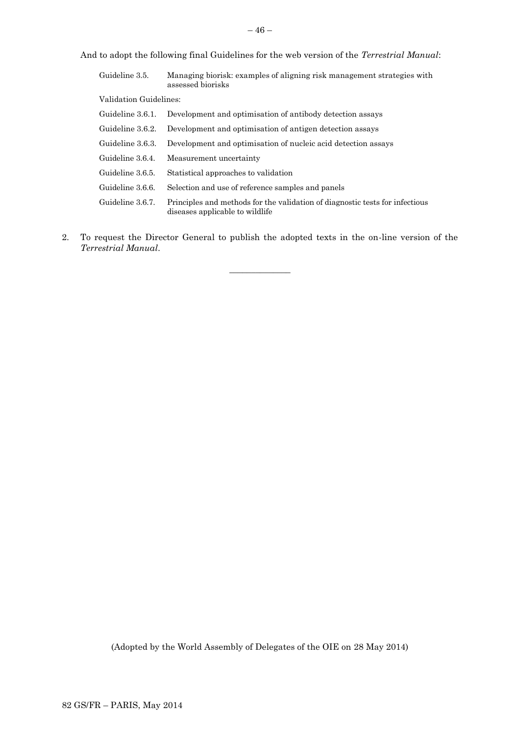And to adopt the following final Guidelines for the web version of the *Terrestrial Manual*:

Guideline 3.5. Managing biorisk: examples of aligning risk management strategies with assessed biorisks

Validation Guidelines:

| Guideline 3.6.1. | Development and optimisation of antibody detection assays                                                       |
|------------------|-----------------------------------------------------------------------------------------------------------------|
| Guideline 3.6.2. | Development and optimisation of antigen detection assays                                                        |
| Guideline 3.6.3. | Development and optimisation of nucleic acid detection assays                                                   |
| Guideline 3.6.4. | Measurement uncertainty                                                                                         |
| Guideline 3.6.5. | Statistical approaches to validation                                                                            |
| Guideline 3.6.6. | Selection and use of reference samples and panels                                                               |
| Guideline 3.6.7. | Principles and methods for the validation of diagnostic tests for infectious<br>diseases applicable to wildlife |

2. To request the Director General to publish the adopted texts in the on-line version of the *Terrestrial Manual*.

\_\_\_\_\_\_\_\_\_\_\_\_\_\_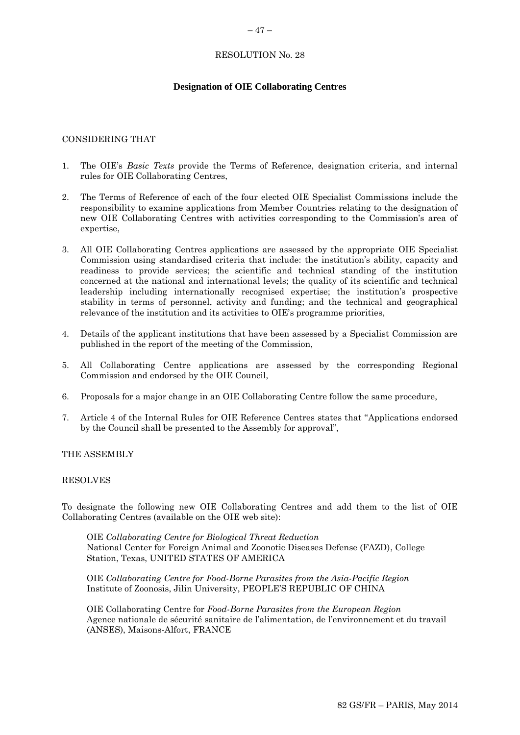# <span id="page-46-0"></span>**Designation of OIE Collaborating Centres**

#### CONSIDERING THAT

- 1. The OIE's *Basic Texts* provide the Terms of Reference, designation criteria, and internal rules for OIE Collaborating Centres,
- 2. The Terms of Reference of each of the four elected OIE Specialist Commissions include the responsibility to examine applications from Member Countries relating to the designation of new OIE Collaborating Centres with activities corresponding to the Commission's area of expertise,
- 3. All OIE Collaborating Centres applications are assessed by the appropriate OIE Specialist Commission using standardised criteria that include: the institution's ability, capacity and readiness to provide services; the scientific and technical standing of the institution concerned at the national and international levels; the quality of its scientific and technical leadership including internationally recognised expertise; the institution's prospective stability in terms of personnel, activity and funding; and the technical and geographical relevance of the institution and its activities to OIE's programme priorities,
- 4. Details of the applicant institutions that have been assessed by a Specialist Commission are published in the report of the meeting of the Commission,
- 5. All Collaborating Centre applications are assessed by the corresponding Regional Commission and endorsed by the OIE Council,
- 6. Proposals for a major change in an OIE Collaborating Centre follow the same procedure,
- 7. Article 4 of the Internal Rules for OIE Reference Centres states that "Applications endorsed by the Council shall be presented to the Assembly for approval",

## THE ASSEMBLY

#### RESOLVES

To designate the following new OIE Collaborating Centres and add them to the list of OIE Collaborating Centres (available on the OIE web site):

OIE *Collaborating Centre for Biological Threat Reduction* National Center for Foreign Animal and Zoonotic Diseases Defense (FAZD), College Station, Texas, UNITED STATES OF AMERICA

OIE *Collaborating Centre for Food-Borne Parasites from the Asia-Pacific Region* Institute of Zoonosis, Jilin University, PEOPLE'S REPUBLIC OF CHINA

OIE Collaborating Centre for *Food-Borne Parasites from the European Region* Agence nationale de sécurité sanitaire de l'alimentation, de l'environnement et du travail (ANSES), Maisons-Alfort, FRANCE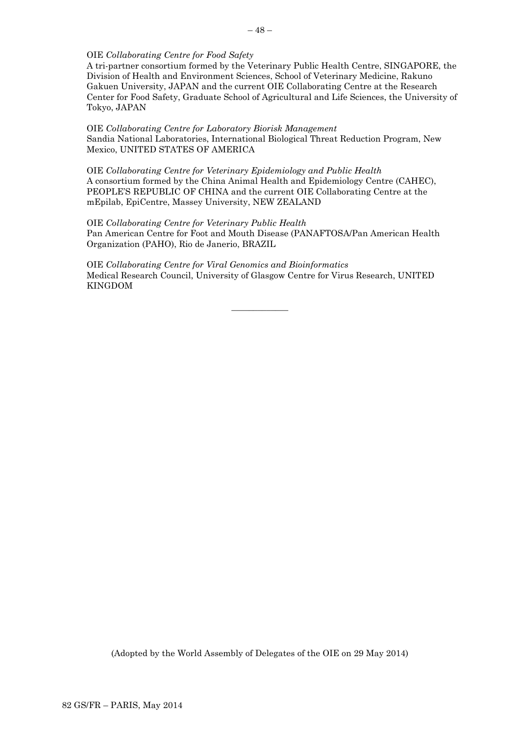#### $-48-$

#### OIE *Collaborating Centre for Food Safety*

A tri-partner consortium formed by the Veterinary Public Health Centre, SINGAPORE, the Division of Health and Environment Sciences, School of Veterinary Medicine, Rakuno Gakuen University, JAPAN and the current OIE Collaborating Centre at the Research Center for Food Safety, Graduate School of Agricultural and Life Sciences, the University of Tokyo, JAPAN

OIE *Collaborating Centre for Laboratory Biorisk Management* Sandia National Laboratories, International Biological Threat Reduction Program, New Mexico, UNITED STATES OF AMERICA

OIE *Collaborating Centre for Veterinary Epidemiology and Public Health* A consortium formed by the China Animal Health and Epidemiology Centre (CAHEC), PEOPLE'S REPUBLIC OF CHINA and the current OIE Collaborating Centre at the mEpilab, EpiCentre, Massey University, NEW ZEALAND

OIE *Collaborating Centre for Veterinary Public Health* Pan American Centre for Foot and Mouth Disease (PANAFTOSA/Pan American Health Organization (PAHO), Rio de Janerio, BRAZIL

OIE *Collaborating Centre for Viral Genomics and Bioinformatics*  Medical Research Council, University of Glasgow Centre for Virus Research, UNITED KINGDOM

 $\overline{\phantom{a}}$  ,  $\overline{\phantom{a}}$  ,  $\overline{\phantom{a}}$  ,  $\overline{\phantom{a}}$  ,  $\overline{\phantom{a}}$  ,  $\overline{\phantom{a}}$  ,  $\overline{\phantom{a}}$  ,  $\overline{\phantom{a}}$  ,  $\overline{\phantom{a}}$  ,  $\overline{\phantom{a}}$  ,  $\overline{\phantom{a}}$  ,  $\overline{\phantom{a}}$  ,  $\overline{\phantom{a}}$  ,  $\overline{\phantom{a}}$  ,  $\overline{\phantom{a}}$  ,  $\overline{\phantom{a}}$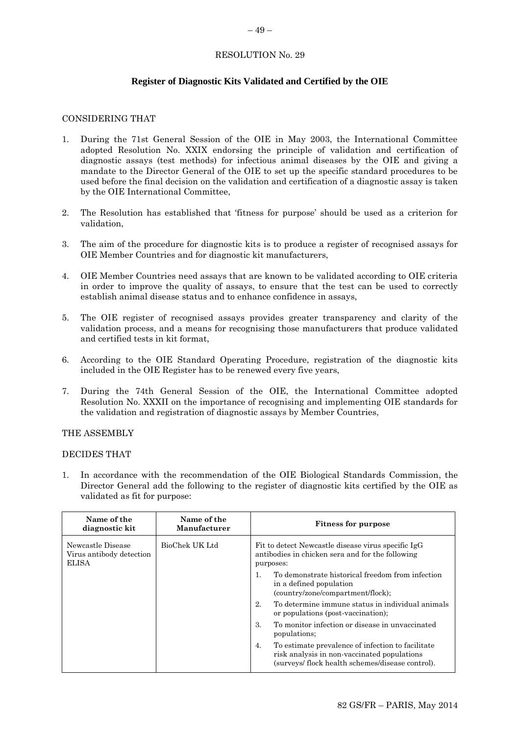# <span id="page-48-0"></span>**Register of Diagnostic Kits Validated and Certified by the OIE**

## CONSIDERING THAT

- 1. During the 71st General Session of the OIE in May 2003, the International Committee adopted Resolution No. XXIX endorsing the principle of validation and certification of diagnostic assays (test methods) for infectious animal diseases by the OIE and giving a mandate to the Director General of the OIE to set up the specific standard procedures to be used before the final decision on the validation and certification of a diagnostic assay is taken by the OIE International Committee,
- 2. The Resolution has established that 'fitness for purpose' should be used as a criterion for validation,
- 3. The aim of the procedure for diagnostic kits is to produce a register of recognised assays for OIE Member Countries and for diagnostic kit manufacturers,
- 4. OIE Member Countries need assays that are known to be validated according to OIE criteria in order to improve the quality of assays, to ensure that the test can be used to correctly establish animal disease status and to enhance confidence in assays,
- 5. The OIE register of recognised assays provides greater transparency and clarity of the validation process, and a means for recognising those manufacturers that produce validated and certified tests in kit format,
- 6. According to the OIE Standard Operating Procedure, registration of the diagnostic kits included in the OIE Register has to be renewed every five years,
- 7. During the 74th General Session of the OIE, the International Committee adopted Resolution No. XXXII on the importance of recognising and implementing OIE standards for the validation and registration of diagnostic assays by Member Countries,

#### THE ASSEMBLY

#### DECIDES THAT

1. In accordance with the recommendation of the OIE Biological Standards Commission, the Director General add the following to the register of diagnostic kits certified by the OIE as validated as fit for purpose:

| Name of the<br>diagnostic kit                                 | Name of the<br>Manufacturer | <b>Fitness for purpose</b>                                                                                                                                |  |
|---------------------------------------------------------------|-----------------------------|-----------------------------------------------------------------------------------------------------------------------------------------------------------|--|
| Newcastle Disease<br>Virus antibody detection<br><b>ELISA</b> | BioChek UK Ltd              | Fit to detect Newcastle disease virus specific IgG<br>antibodies in chicken sera and for the following<br>purposes:                                       |  |
|                                                               |                             | To demonstrate historical freedom from infection<br>1.<br>in a defined population<br>(country/zone/compartment/flock);                                    |  |
|                                                               |                             | To determine immune status in individual animals<br>$2^{\circ}$<br>or populations (post-vaccination);                                                     |  |
|                                                               |                             | 3.<br>To monitor infection or disease in unvaccinated<br>populations:                                                                                     |  |
|                                                               |                             | 4.<br>To estimate prevalence of infection to facilitate<br>risk analysis in non-vaccinated populations<br>(surveys/flock health schemes/disease control). |  |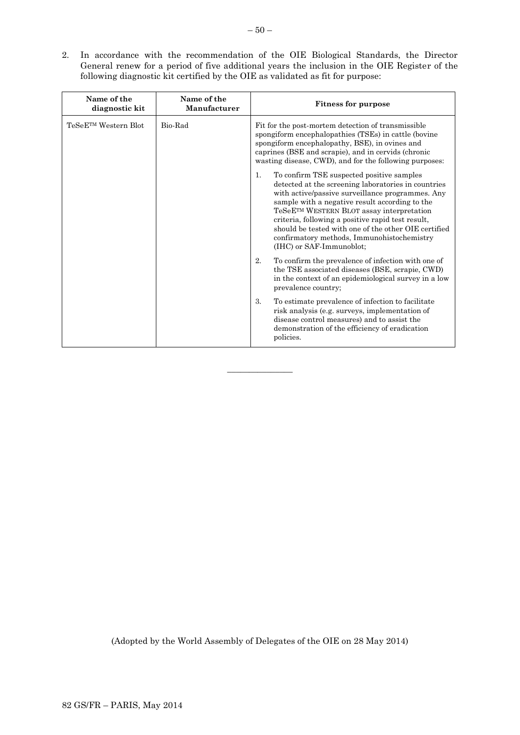2. In accordance with the recommendation of the OIE Biological Standards, the Director General renew for a period of five additional years the inclusion in the OIE Register of the following diagnostic kit certified by the OIE as validated as fit for purpose:

| Name of the<br>diagnostic kit    | Name of the<br>Manufacturer | <b>Fitness for purpose</b>                                                                                                                                                                                                                                                                                                                                                                                                                                   |
|----------------------------------|-----------------------------|--------------------------------------------------------------------------------------------------------------------------------------------------------------------------------------------------------------------------------------------------------------------------------------------------------------------------------------------------------------------------------------------------------------------------------------------------------------|
| TeSeE <sup>TM</sup> Western Blot | Bio-Rad                     | Fit for the post-mortem detection of transmissible<br>spongiform encephalopathies (TSEs) in cattle (bovine<br>spongiform encephalopathy, BSE), in ovines and<br>caprines (BSE and scrapie), and in cervids (chronic<br>wasting disease, CWD), and for the following purposes:                                                                                                                                                                                |
|                                  |                             | To confirm TSE suspected positive samples<br>1.<br>detected at the screening laboratories in countries<br>with active/passive surveillance programmes. Any<br>sample with a negative result according to the<br>TeSeE <sup>TM</sup> WESTERN BLOT assay interpretation<br>criteria, following a positive rapid test result,<br>should be tested with one of the other OIE certified<br>confirmatory methods, Immunohistochemistry<br>(IHC) or SAF-Immunoblot; |
|                                  |                             | 2.<br>To confirm the prevalence of infection with one of<br>the TSE associated diseases (BSE, scrapie, CWD)<br>in the context of an epidemiological survey in a low<br>prevalence country;                                                                                                                                                                                                                                                                   |
|                                  |                             | 3.<br>To estimate prevalence of infection to facilitate<br>risk analysis (e.g. surveys, implementation of<br>disease control measures) and to assist the<br>demonstration of the efficiency of eradication<br>policies.                                                                                                                                                                                                                                      |

 $\overline{\phantom{a}}$  , where  $\overline{\phantom{a}}$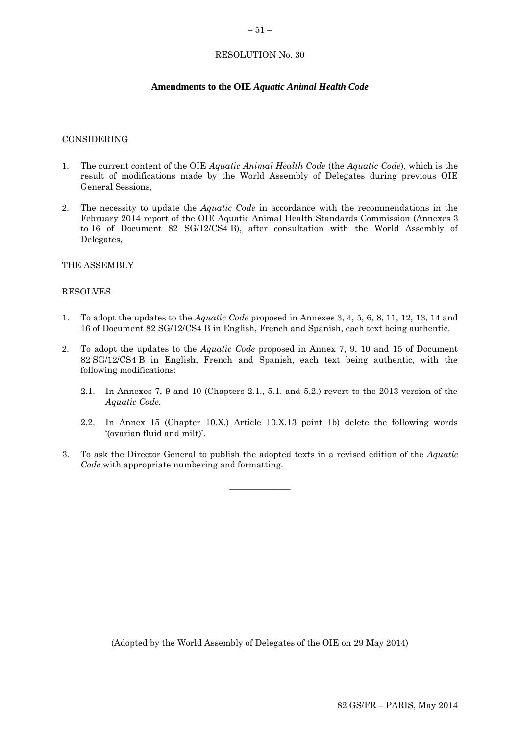# <span id="page-50-0"></span>**Amendments to the OIE** *Aquatic Animal Health Code*

#### CONSIDERING

- 1. The current content of the OIE *Aquatic Animal Health Code* (the *Aquatic Code*), which is the result of modifications made by the World Assembly of Delegates during previous OIE General Sessions,
- 2. The necessity to update the *Aquatic Code* in accordance with the recommendations in the February 2014 report of the OIE Aquatic Animal Health Standards Commission (Annexes 3 to 16 of Document 82 SG/12/CS4 B), after consultation with the World Assembly of Delegates,

#### THE ASSEMBLY

#### RESOLVES

- 1. To adopt the updates to the *Aquatic Code* proposed in Annexes 3, 4, 5, 6, 8, 11, 12, 13, 14 and 16 of Document 82 SG/12/CS4 B in English, French and Spanish, each text being authentic.
- 2. To adopt the updates to the *Aquatic Code* proposed in Annex 7, 9, 10 and 15 of Document 82 SG/12/CS4 B in English, French and Spanish, each text being authentic, with the following modifications:
	- 2.1. In Annexes 7, 9 and 10 (Chapters 2.1., 5.1. and 5.2.) revert to the 2013 version of the *Aquatic Code.*
	- 2.2. In Annex 15 (Chapter 10.X.) Article 10.X.13 point 1b) delete the following words '(ovarian fluid and milt)'.
- 3. To ask the Director General to publish the adopted texts in a revised edition of the *Aquatic Code* with appropriate numbering and formatting.

 $\overline{\phantom{a}}$  , where  $\overline{\phantom{a}}$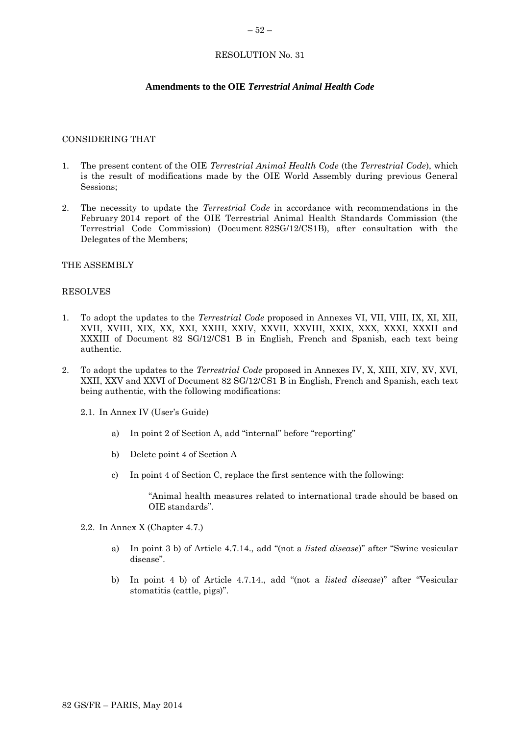# <span id="page-51-0"></span>**Amendments to the OIE** *Terrestrial Animal Health Code*

#### CONSIDERING THAT

- 1. The present content of the OIE *Terrestrial Animal Health Code* (the *Terrestrial Code*), which is the result of modifications made by the OIE World Assembly during previous General Sessions;
- 2. The necessity to update the *Terrestrial Code* in accordance with recommendations in the February 2014 report of the OIE Terrestrial Animal Health Standards Commission (the Terrestrial Code Commission) (Document 82SG/12/CS1B), after consultation with the Delegates of the Members;

#### THE ASSEMBLY

#### RESOLVES

- 1. To adopt the updates to the *Terrestrial Code* proposed in Annexes VI, VII, VIII, IX, XI, XII, XVII, XVIII, XIX, XX, XXI, XXIII, XXIV, XXVII, XXVIII, XXIX, XXX, XXXI, XXXII and XXXIII of Document 82 SG/12/CS1 B in English, French and Spanish, each text being authentic.
- 2. To adopt the updates to the *Terrestrial Code* proposed in Annexes IV, X, XIII, XIV, XV, XVI, XXII, XXV and XXVI of Document 82 SG/12/CS1 B in English, French and Spanish, each text being authentic, with the following modifications:
	- 2.1. In Annex IV (User's Guide)
		- a) In point 2 of Section A, add "internal" before "reporting"
		- b) Delete point 4 of Section A
		- c) In point 4 of Section C, replace the first sentence with the following:

"Animal health measures related to international trade should be based on OIE standards".

- 2.2. In Annex X (Chapter 4.7.)
	- a) In point 3 b) of Article 4.7.14., add "(not a *listed disease*)" after "Swine vesicular disease".
	- b) In point 4 b) of Article 4.7.14., add "(not a *listed disease*)" after "Vesicular stomatitis (cattle, pigs)".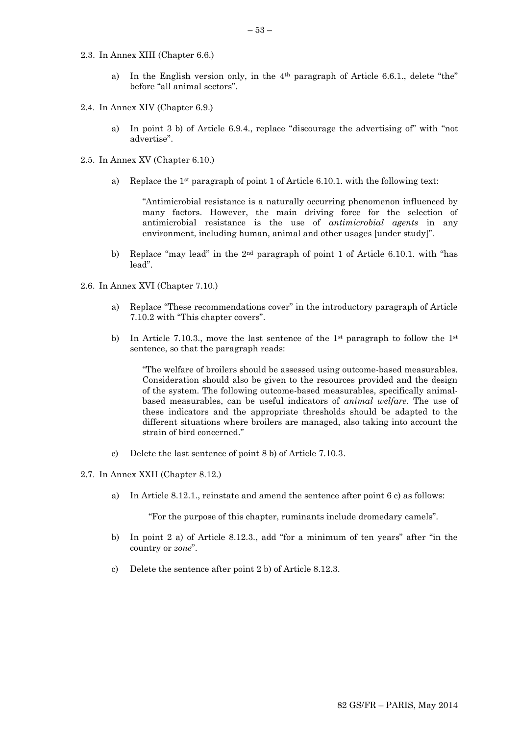- 2.3. In Annex XIII (Chapter 6.6.)
	- a) In the English version only, in the 4th paragraph of Article 6.6.1., delete "the" before "all animal sectors".
- 2.4. In Annex XIV (Chapter 6.9.)
	- a) In point 3 b) of Article 6.9.4., replace "discourage the advertising of" with "not advertise".
- 2.5. In Annex XV (Chapter 6.10.)
	- a) Replace the 1<sup>st</sup> paragraph of point 1 of Article 6.10.1, with the following text:

"Antimicrobial resistance is a naturally occurring phenomenon influenced by many factors. However, the main driving force for the selection of antimicrobial resistance is the use of *antimicrobial agents* in any environment, including human, animal and other usages [under study]".

- b) Replace "may lead" in the  $2<sup>nd</sup>$  paragraph of point 1 of Article 6.10.1. with "has lead".
- 2.6. In Annex XVI (Chapter 7.10.)
	- a) Replace "These recommendations cover" in the introductory paragraph of Article 7.10.2 with "This chapter covers".
	- b) In Article 7.10.3., move the last sentence of the 1<sup>st</sup> paragraph to follow the 1<sup>st</sup> sentence, so that the paragraph reads:

"The welfare of broilers should be assessed using outcome-based measurables. Consideration should also be given to the resources provided and the design of the system. The following outcome-based measurables, specifically animalbased measurables, can be useful indicators of *animal welfare*. The use of these indicators and the appropriate thresholds should be adapted to the different situations where broilers are managed, also taking into account the strain of bird concerned."

- c) Delete the last sentence of point 8 b) of Article 7.10.3.
- 2.7. In Annex XXII (Chapter 8.12.)
	- a) In Article 8.12.1., reinstate and amend the sentence after point 6 c) as follows:

"For the purpose of this chapter, ruminants include dromedary camels".

- b) In point 2 a) of Article 8.12.3., add "for a minimum of ten years" after "in the country or *zone*".
- c) Delete the sentence after point 2 b) of Article 8.12.3.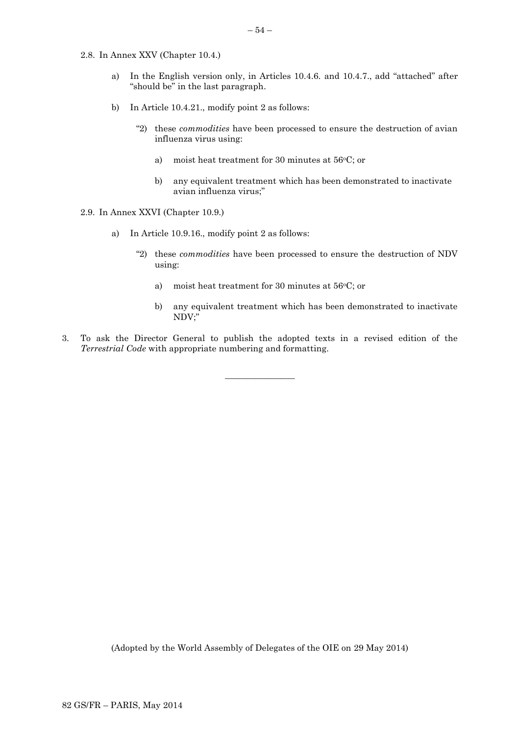- 2.8. In Annex XXV (Chapter 10.4.)
	- a) In the English version only, in Articles 10.4.6. and 10.4.7., add "attached" after "should be" in the last paragraph.
	- b) In Article 10.4.21., modify point 2 as follows:
		- "2) these *commodities* have been processed to ensure the destruction of avian influenza virus using:
			- a) moist heat treatment for 30 minutes at 56°C; or
			- b) any equivalent treatment which has been demonstrated to inactivate avian influenza virus;"
- 2.9. In Annex XXVI (Chapter 10.9.)
	- a) In Article 10.9.16., modify point 2 as follows:
		- "2) these *commodities* have been processed to ensure the destruction of NDV using:
			- a) moist heat treatment for 30 minutes at 56°C; or
			- b) any equivalent treatment which has been demonstrated to inactivate NDV;"
- 3. To ask the Director General to publish the adopted texts in a revised edition of the *Terrestrial Code* with appropriate numbering and formatting.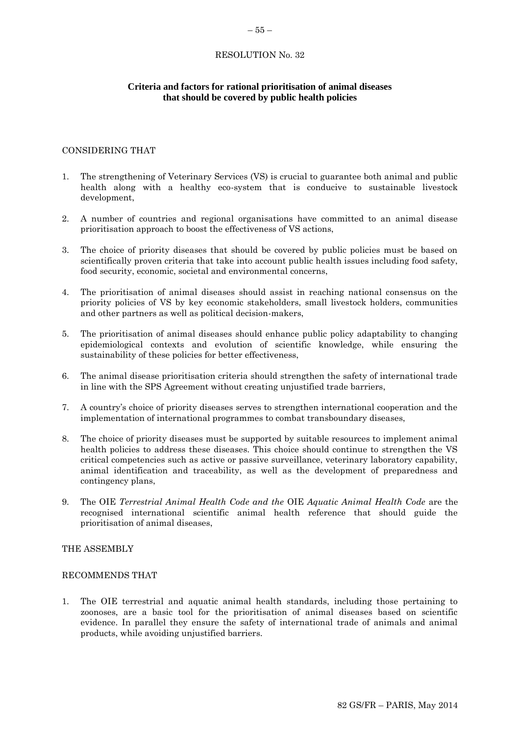# <span id="page-54-0"></span>**Criteria and factors for rational prioritisation of animal diseases that should be covered by public health policies**

# CONSIDERING THAT

- 1. The strengthening of Veterinary Services (VS) is crucial to guarantee both animal and public health along with a healthy eco-system that is conducive to sustainable livestock development,
- 2. A number of countries and regional organisations have committed to an animal disease prioritisation approach to boost the effectiveness of VS actions,
- 3. The choice of priority diseases that should be covered by public policies must be based on scientifically proven criteria that take into account public health issues including food safety, food security, economic, societal and environmental concerns,
- 4. The prioritisation of animal diseases should assist in reaching national consensus on the priority policies of VS by key economic stakeholders, small livestock holders, communities and other partners as well as political decision-makers,
- 5. The prioritisation of animal diseases should enhance public policy adaptability to changing epidemiological contexts and evolution of scientific knowledge, while ensuring the sustainability of these policies for better effectiveness,
- 6. The animal disease prioritisation criteria should strengthen the safety of international trade in line with the SPS Agreement without creating unjustified trade barriers,
- 7. A country's choice of priority diseases serves to strengthen international cooperation and the implementation of international programmes to combat transboundary diseases,
- 8. The choice of priority diseases must be supported by suitable resources to implement animal health policies to address these diseases. This choice should continue to strengthen the VS critical competencies such as active or passive surveillance, veterinary laboratory capability, animal identification and traceability, as well as the development of preparedness and contingency plans,
- 9. The OIE *Terrestrial Animal Health Code and the* OIE *Aquatic Animal Health Code* are the recognised international scientific animal health reference that should guide the prioritisation of animal diseases,

#### THE ASSEMBLY

#### RECOMMENDS THAT

1. The OIE terrestrial and aquatic animal health standards, including those pertaining to zoonoses, are a basic tool for the prioritisation of animal diseases based on scientific evidence. In parallel they ensure the safety of international trade of animals and animal products, while avoiding unjustified barriers.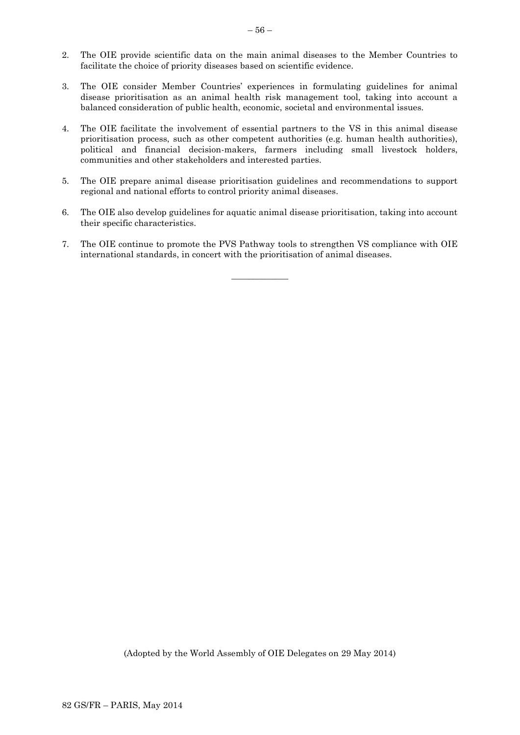- 2. The OIE provide scientific data on the main animal diseases to the Member Countries to facilitate the choice of priority diseases based on scientific evidence.
- 3. The OIE consider Member Countries' experiences in formulating guidelines for animal disease prioritisation as an animal health risk management tool, taking into account a balanced consideration of public health, economic, societal and environmental issues.
- 4. The OIE facilitate the involvement of essential partners to the VS in this animal disease prioritisation process, such as other competent authorities (e.g. human health authorities), political and financial decision-makers, farmers including small livestock holders, communities and other stakeholders and interested parties.
- 5. The OIE prepare animal disease prioritisation guidelines and recommendations to support regional and national efforts to control priority animal diseases.
- 6. The OIE also develop guidelines for aquatic animal disease prioritisation, taking into account their specific characteristics.
- 7. The OIE continue to promote the PVS Pathway tools to strengthen VS compliance with OIE international standards, in concert with the prioritisation of animal diseases.

 $\overline{\phantom{a}}$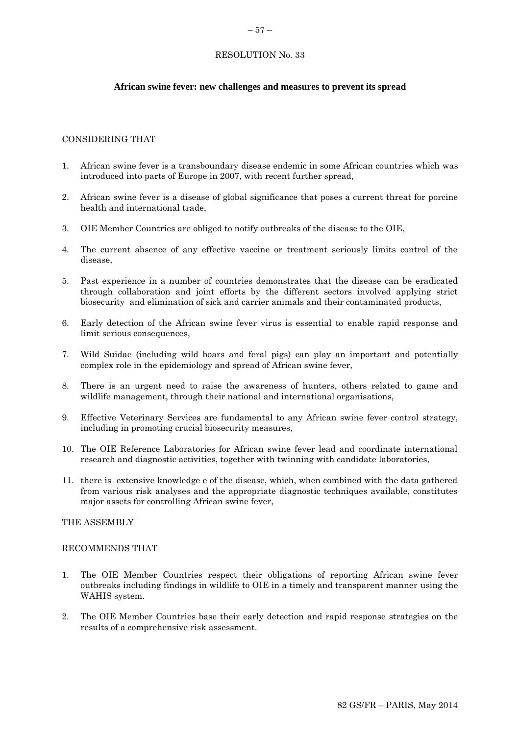# <span id="page-56-0"></span>**African swine fever: new challenges and measures to prevent its spread**

#### CONSIDERING THAT

- 1. African swine fever is a transboundary disease endemic in some African countries which was introduced into parts of Europe in 2007, with recent further spread,
- 2. African swine fever is a disease of global significance that poses a current threat for porcine health and international trade,
- 3. OIE Member Countries are obliged to notify outbreaks of the disease to the OIE,
- 4. The current absence of any effective vaccine or treatment seriously limits control of the disease,
- 5. Past experience in a number of countries demonstrates that the disease can be eradicated through collaboration and joint efforts by the different sectors involved applying strict biosecurity and elimination of sick and carrier animals and their contaminated products,
- 6. Early detection of the African swine fever virus is essential to enable rapid response and limit serious consequences,
- 7. Wild Suidae (including wild boars and feral pigs) can play an important and potentially complex role in the epidemiology and spread of African swine fever,
- 8. There is an urgent need to raise the awareness of hunters, others related to game and wildlife management, through their national and international organisations,
- 9. Effective Veterinary Services are fundamental to any African swine fever control strategy, including in promoting crucial biosecurity measures,
- 10. The OIE Reference Laboratories for African swine fever lead and coordinate international research and diagnostic activities, together with twinning with candidate laboratories,
- 11. there is extensive knowledge e of the disease, which, when combined with the data gathered from various risk analyses and the appropriate diagnostic techniques available, constitutes major assets for controlling African swine fever,

#### THE ASSEMBLY

#### RECOMMENDS THAT

- 1. The OIE Member Countries respect their obligations of reporting African swine fever outbreaks including findings in wildlife to OIE in a timely and transparent manner using the WAHIS system.
- 2. The OIE Member Countries base their early detection and rapid response strategies on the results of a comprehensive risk assessment.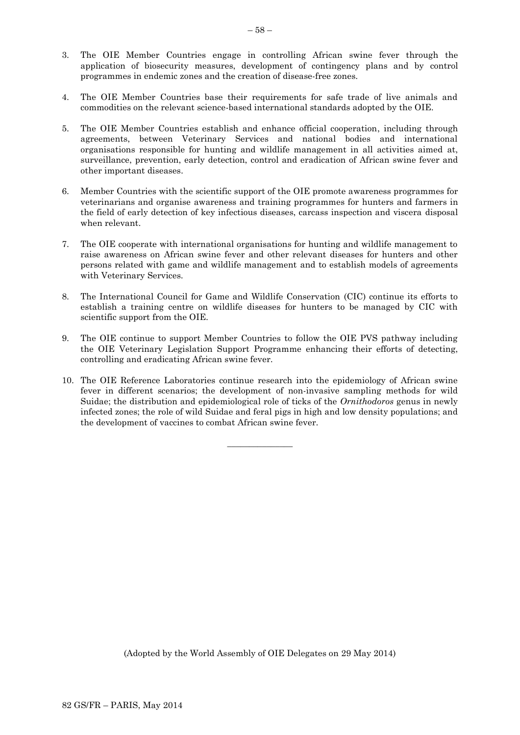- 3. The OIE Member Countries engage in controlling African swine fever through the application of biosecurity measures, development of contingency plans and by control programmes in endemic zones and the creation of disease-free zones.
- 4. The OIE Member Countries base their requirements for safe trade of live animals and commodities on the relevant science-based international standards adopted by the OIE.
- 5. The OIE Member Countries establish and enhance official cooperation, including through agreements, between Veterinary Services and national bodies and international organisations responsible for hunting and wildlife management in all activities aimed at, surveillance, prevention, early detection, control and eradication of African swine fever and other important diseases.
- 6. Member Countries with the scientific support of the OIE promote awareness programmes for veterinarians and organise awareness and training programmes for hunters and farmers in the field of early detection of key infectious diseases, carcass inspection and viscera disposal when relevant.
- 7. The OIE cooperate with international organisations for hunting and wildlife management to raise awareness on African swine fever and other relevant diseases for hunters and other persons related with game and wildlife management and to establish models of agreements with Veterinary Services.
- 8. The International Council for Game and Wildlife Conservation (CIC) continue its efforts to establish a training centre on wildlife diseases for hunters to be managed by CIC with scientific support from the OIE.
- 9. The OIE continue to support Member Countries to follow the OIE PVS pathway including the OIE Veterinary Legislation Support Programme enhancing their efforts of detecting, controlling and eradicating African swine fever.
- 10. The OIE Reference Laboratories continue research into the epidemiology of African swine fever in different scenarios; the development of non-invasive sampling methods for wild Suidae; the distribution and epidemiological role of ticks of the *Ornithodoros* genus in newly infected zones; the role of wild Suidae and feral pigs in high and low density populations; and the development of vaccines to combat African swine fever.

 $\overline{\phantom{a}}$  , where  $\overline{\phantom{a}}$ 

(Adopted by the World Assembly of OIE Delegates on 29 May 2014)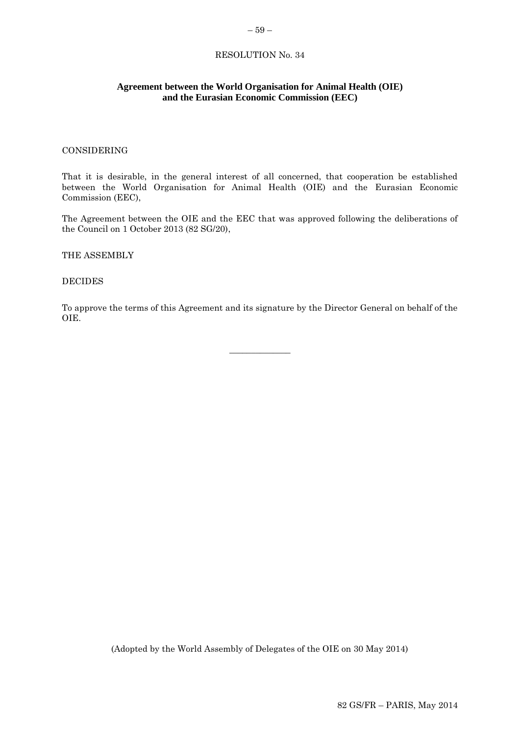# <span id="page-58-0"></span>**Agreement between the World Organisation for Animal Health (OIE) and the Eurasian Economic Commission (EEC)**

# CONSIDERING

That it is desirable, in the general interest of all concerned, that cooperation be established between the World Organisation for Animal Health (OIE) and the Eurasian Economic Commission (EEC),

The Agreement between the OIE and the EEC that was approved following the deliberations of the Council on 1 October 2013 (82 SG/20),

THE ASSEMBLY

DECIDES

To approve the terms of this Agreement and its signature by the Director General on behalf of the OIE.

 $\overline{\phantom{a}}$  , where  $\overline{\phantom{a}}$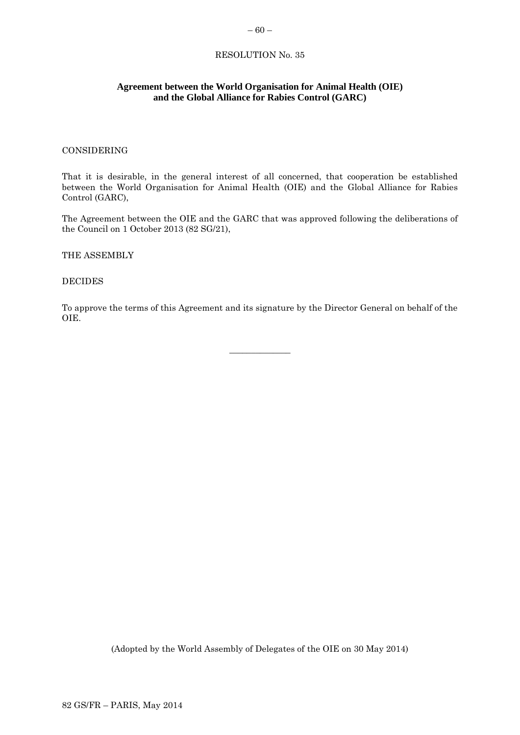# <span id="page-59-0"></span>**Agreement between the World Organisation for Animal Health (OIE) and the Global Alliance for Rabies Control (GARC)**

## CONSIDERING

That it is desirable, in the general interest of all concerned, that cooperation be established between the World Organisation for Animal Health (OIE) and the Global Alliance for Rabies Control (GARC),

The Agreement between the OIE and the GARC that was approved following the deliberations of the Council on 1 October 2013 (82 SG/21),

THE ASSEMBLY

DECIDES

To approve the terms of this Agreement and its signature by the Director General on behalf of the OIE.

 $\overline{\phantom{a}}$  , where  $\overline{\phantom{a}}$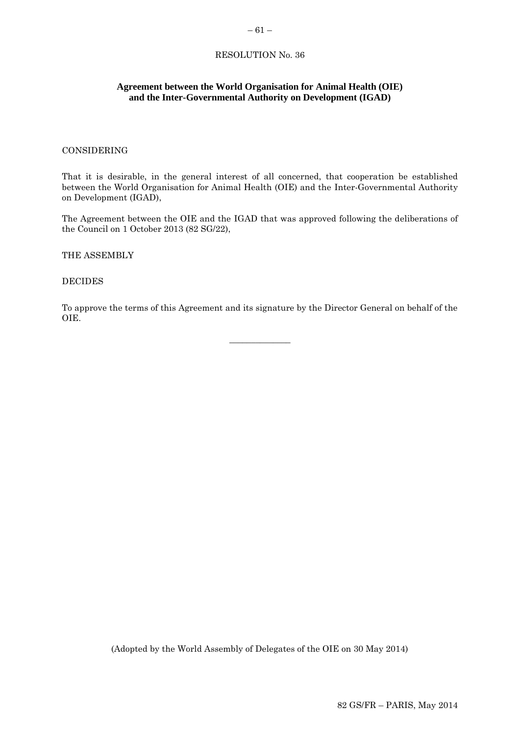# <span id="page-60-0"></span>**Agreement between the World Organisation for Animal Health (OIE) and the Inter-Governmental Authority on Development (IGAD)**

## CONSIDERING

That it is desirable, in the general interest of all concerned, that cooperation be established between the World Organisation for Animal Health (OIE) and the Inter-Governmental Authority on Development (IGAD),

The Agreement between the OIE and the IGAD that was approved following the deliberations of the Council on 1 October 2013 (82 SG/22),

THE ASSEMBLY

DECIDES

To approve the terms of this Agreement and its signature by the Director General on behalf of the OIE.

 $\overline{\phantom{a}}$  , where  $\overline{\phantom{a}}$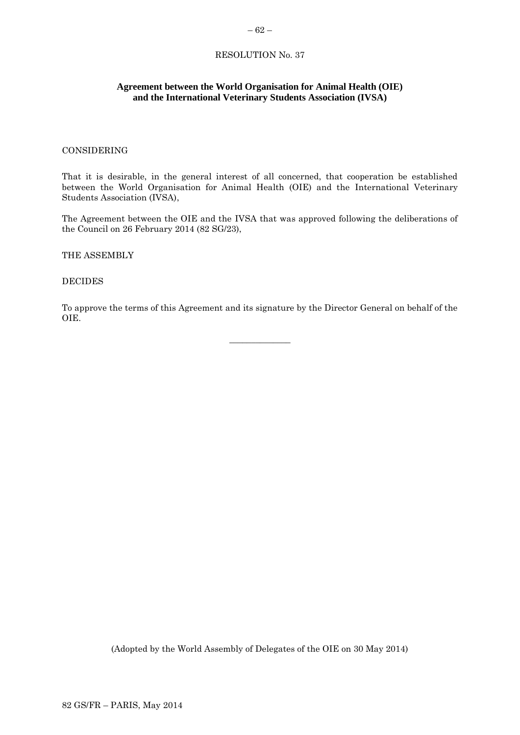# <span id="page-61-0"></span>**Agreement between the World Organisation for Animal Health (OIE) and the International Veterinary Students Association (IVSA)**

## CONSIDERING

That it is desirable, in the general interest of all concerned, that cooperation be established between the World Organisation for Animal Health (OIE) and the International Veterinary Students Association (IVSA),

The Agreement between the OIE and the IVSA that was approved following the deliberations of the Council on 26 February 2014 (82 SG/23),

THE ASSEMBLY

DECIDES

To approve the terms of this Agreement and its signature by the Director General on behalf of the OIE.

 $\overline{\phantom{a}}$  , where  $\overline{\phantom{a}}$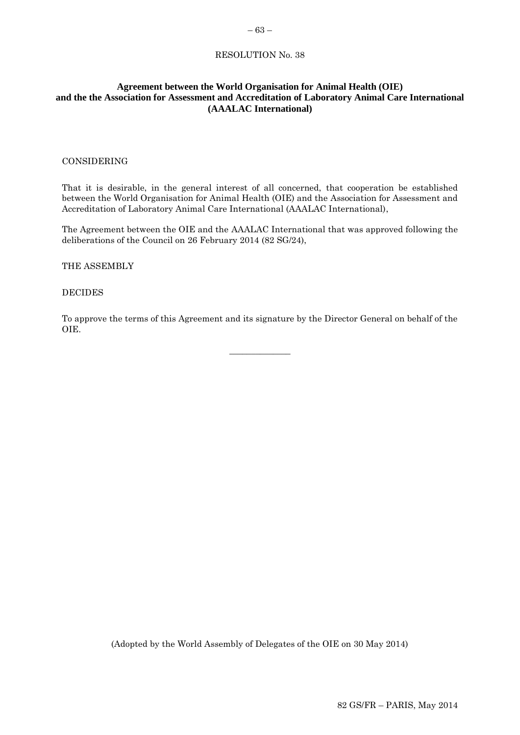# <span id="page-62-0"></span>**Agreement between the World Organisation for Animal Health (OIE) and the the Association for Assessment and Accreditation of Laboratory Animal Care International (AAALAC International)**

#### CONSIDERING

That it is desirable, in the general interest of all concerned, that cooperation be established between the World Organisation for Animal Health (OIE) and the Association for Assessment and Accreditation of Laboratory Animal Care International (AAALAC International),

The Agreement between the OIE and the AAALAC International that was approved following the deliberations of the Council on 26 February 2014 (82 SG/24),

THE ASSEMBLY

# DECIDES

To approve the terms of this Agreement and its signature by the Director General on behalf of the OIE.

 $\overline{\phantom{a}}$  , where  $\overline{\phantom{a}}$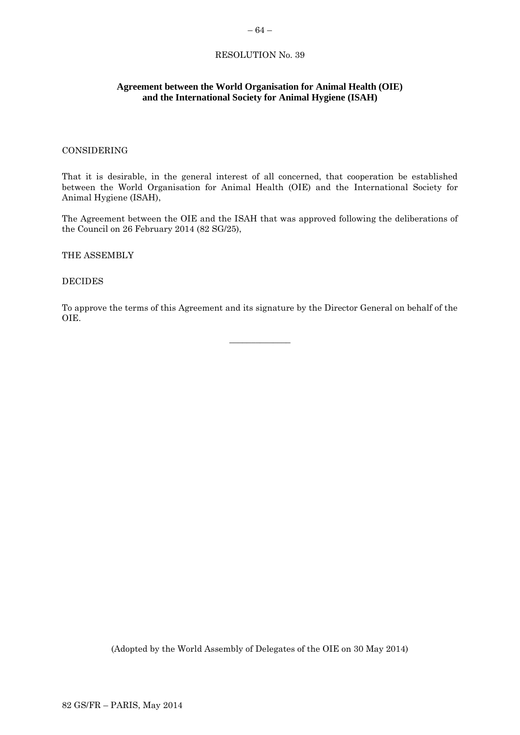# <span id="page-63-0"></span>**Agreement between the World Organisation for Animal Health (OIE) and the International Society for Animal Hygiene (ISAH)**

## CONSIDERING

That it is desirable, in the general interest of all concerned, that cooperation be established between the World Organisation for Animal Health (OIE) and the International Society for Animal Hygiene (ISAH),

The Agreement between the OIE and the ISAH that was approved following the deliberations of the Council on 26 February 2014 (82 SG/25),

THE ASSEMBLY

DECIDES

To approve the terms of this Agreement and its signature by the Director General on behalf of the OIE.

 $\overline{\phantom{a}}$  , where  $\overline{\phantom{a}}$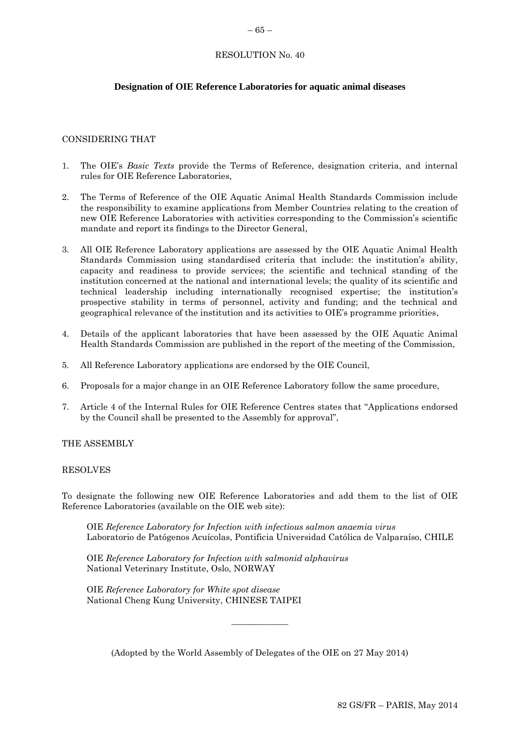# <span id="page-64-0"></span>**Designation of OIE Reference Laboratories for aquatic animal diseases**

# CONSIDERING THAT

- 1. The OIE's *Basic Texts* provide the Terms of Reference, designation criteria, and internal rules for OIE Reference Laboratories,
- 2. The Terms of Reference of the OIE Aquatic Animal Health Standards Commission include the responsibility to examine applications from Member Countries relating to the creation of new OIE Reference Laboratories with activities corresponding to the Commission's scientific mandate and report its findings to the Director General,
- 3. All OIE Reference Laboratory applications are assessed by the OIE Aquatic Animal Health Standards Commission using standardised criteria that include: the institution's ability, capacity and readiness to provide services; the scientific and technical standing of the institution concerned at the national and international levels; the quality of its scientific and technical leadership including internationally recognised expertise; the institution's prospective stability in terms of personnel, activity and funding; and the technical and geographical relevance of the institution and its activities to OIE's programme priorities,
- 4. Details of the applicant laboratories that have been assessed by the OIE Aquatic Animal Health Standards Commission are published in the report of the meeting of the Commission,
- 5. All Reference Laboratory applications are endorsed by the OIE Council,
- 6. Proposals for a major change in an OIE Reference Laboratory follow the same procedure,
- 7. Article 4 of the Internal Rules for OIE Reference Centres states that "Applications endorsed by the Council shall be presented to the Assembly for approval",

THE ASSEMBLY

#### RESOLVES

To designate the following new OIE Reference Laboratories and add them to the list of OIE Reference Laboratories (available on the OIE web site):

OIE *Reference Laboratory for Infection with infectious salmon anaemia virus* Laboratorio de Patógenos Acuícolas, Pontificia Universidad Católica de Valparaíso, CHILE

OIE *Reference Laboratory for Infection with salmonid alphavirus* National Veterinary Institute, Oslo, NORWAY

OIE *Reference Laboratory for White spot disease* National Cheng Kung University, CHINESE TAIPEI

(Adopted by the World Assembly of Delegates of the OIE on 27 May 2014)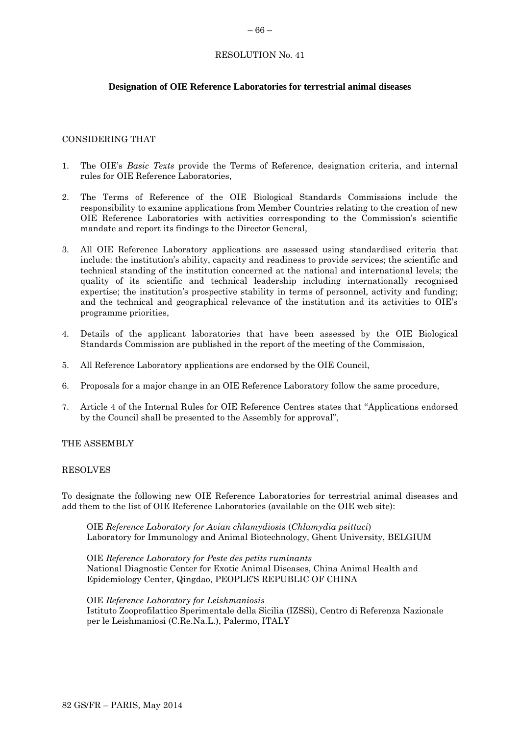# <span id="page-65-0"></span>**Designation of OIE Reference Laboratories for terrestrial animal diseases**

# CONSIDERING THAT

- 1. The OIE's *Basic Texts* provide the Terms of Reference, designation criteria, and internal rules for OIE Reference Laboratories,
- 2. The Terms of Reference of the OIE Biological Standards Commissions include the responsibility to examine applications from Member Countries relating to the creation of new OIE Reference Laboratories with activities corresponding to the Commission's scientific mandate and report its findings to the Director General,
- 3. All OIE Reference Laboratory applications are assessed using standardised criteria that include: the institution's ability, capacity and readiness to provide services; the scientific and technical standing of the institution concerned at the national and international levels; the quality of its scientific and technical leadership including internationally recognised expertise; the institution's prospective stability in terms of personnel, activity and funding; and the technical and geographical relevance of the institution and its activities to OIE's programme priorities,
- 4. Details of the applicant laboratories that have been assessed by the OIE Biological Standards Commission are published in the report of the meeting of the Commission,
- 5. All Reference Laboratory applications are endorsed by the OIE Council,
- 6. Proposals for a major change in an OIE Reference Laboratory follow the same procedure,
- 7. Article 4 of the Internal Rules for OIE Reference Centres states that "Applications endorsed by the Council shall be presented to the Assembly for approval",

#### THE ASSEMBLY

#### RESOLVES

To designate the following new OIE Reference Laboratories for terrestrial animal diseases and add them to the list of OIE Reference Laboratories (available on the OIE web site):

OIE *Reference Laboratory for Avian chlamydiosis* (*Chlamydia psittaci*) Laboratory for Immunology and Animal Biotechnology, Ghent University, BELGIUM

OIE *Reference Laboratory for Peste des petits ruminants* National Diagnostic Center for Exotic Animal Diseases, China Animal Health and Epidemiology Center, Qingdao, PEOPLE'S REPUBLIC OF CHINA

OIE *Reference Laboratory for Leishmaniosis*

Istituto Zooprofilattico Sperimentale della Sicilia (IZSSi), Centro di Referenza Nazionale per le Leishmaniosi (C.Re.Na.L.), Palermo, ITALY